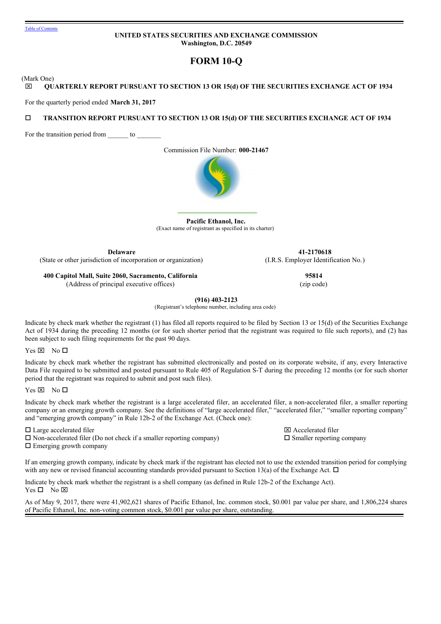# **UNITED STATES SECURITIES AND EXCHANGE COMMISSION Washington, D.C. 20549**

# **FORM 10-Q**

(Mark One)

# x **QUARTERLY REPORT PURSUANT TO SECTION 13 OR 15(d) OF THE SECURITIES EXCHANGE ACT OF 1934**

For the quarterly period ended **March 31, 2017**

# o **TRANSITION REPORT PURSUANT TO SECTION 13 OR 15(d) OF THE SECURITIES EXCHANGE ACT OF 1934**

For the transition period from to

Commission File Number: **000-21467**



**Pacific Ethanol, Inc.** (Exact name of registrant as specified in its charter)

**Delaware**

(State or other jurisdiction of incorporation or organization)

**400 Capitol Mall, Suite 2060, Sacramento, California** (Address of principal executive offices)

**95814** (zip code)

**41-2170618** (I.R.S. Employer Identification No.)

**(916) 403-2123** (Registrant's telephone number, including area code)

Indicate by check mark whether the registrant (1) has filed all reports required to be filed by Section 13 or 15(d) of the Securities Exchange Act of 1934 during the preceding 12 months (or for such shorter period that the registrant was required to file such reports), and (2) has been subject to such filing requirements for the past 90 days.

 $Yes \boxtimes No \Box$ 

Indicate by check mark whether the registrant has submitted electronically and posted on its corporate website, if any, every Interactive Data File required to be submitted and posted pursuant to Rule 405 of Regulation S-T during the preceding 12 months (or for such shorter period that the registrant was required to submit and post such files).

Yes  $\times$  No  $\square$ 

Indicate by check mark whether the registrant is a large accelerated filer, an accelerated filer, a non-accelerated filer, a smaller reporting company or an emerging growth company. See the definitions of "large accelerated filer," "accelerated filer," "smaller reporting company" and "emerging growth company" in Rule 12b-2 of the Exchange Act. (Check one):

 $\square$  Large accelerated filer  $\square$  Accelerated filer  $\square$  Non-accelerated filer (Do not check if a smaller reporting company)  $\square$  Smaller reporting company

 $\square$  Emerging growth company

If an emerging growth company, indicate by check mark if the registrant has elected not to use the extended transition period for complying with any new or revised financial accounting standards provided pursuant to Section 13(a) of the Exchange Act.  $\Box$ 

Indicate by check mark whether the registrant is a shell company (as defined in Rule 12b-2 of the Exchange Act).  $Yes \Box No \boxtimes$ 

As of May 9, 2017, there were 41,902,621 shares of Pacific Ethanol, Inc. common stock, \$0.001 par value per share, and 1,806,224 shares of Pacific Ethanol, Inc. non-voting common stock, \$0.001 par value per share, outstanding.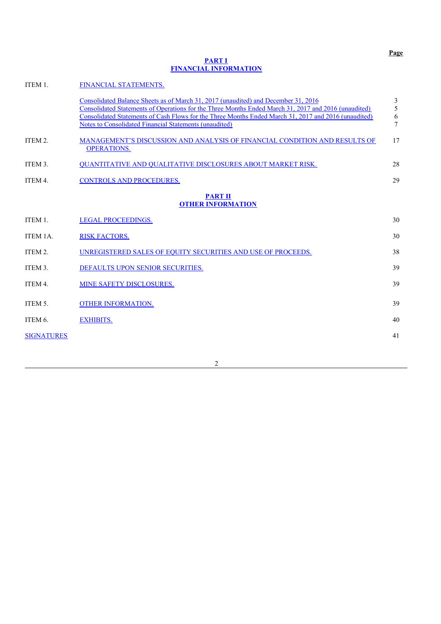### **PART I FINANCIAL INFORMATION**

| ITEM 1.           | FINANCIAL STATEMENTS.                                                                                                                                                                                                                                                                                                                                               |                                                    |
|-------------------|---------------------------------------------------------------------------------------------------------------------------------------------------------------------------------------------------------------------------------------------------------------------------------------------------------------------------------------------------------------------|----------------------------------------------------|
|                   | Consolidated Balance Sheets as of March 31, 2017 (unaudited) and December 31, 2016<br>Consolidated Statements of Operations for the Three Months Ended March 31, 2017 and 2016 (unaudited)<br>Consolidated Statements of Cash Flows for the Three Months Ended March 31, 2017 and 2016 (unaudited)<br><b>Notes to Consolidated Financial Statements (unaudited)</b> | $\mathbf{3}$<br>$\sqrt{5}$<br>$\sqrt{6}$<br>$\tau$ |
| ITEM 2.           | MANAGEMENT'S DISCUSSION AND ANALYSIS OF FINANCIAL CONDITION AND RESULTS OF<br><b>OPERATIONS.</b>                                                                                                                                                                                                                                                                    | 17                                                 |
| ITEM 3.           | <b>QUANTITATIVE AND QUALITATIVE DISCLOSURES ABOUT MARKET RISK.</b>                                                                                                                                                                                                                                                                                                  | 28                                                 |
| ITEM 4.           | <b>CONTROLS AND PROCEDURES.</b>                                                                                                                                                                                                                                                                                                                                     | 29                                                 |
|                   | <b>PART II</b><br><b>OTHER INFORMATION</b>                                                                                                                                                                                                                                                                                                                          |                                                    |
| ITEM 1.           | <b>LEGAL PROCEEDINGS.</b>                                                                                                                                                                                                                                                                                                                                           | 30                                                 |
| ITEM 1A.          | <b>RISK FACTORS.</b>                                                                                                                                                                                                                                                                                                                                                | 30                                                 |
| ITEM 2.           | UNREGISTERED SALES OF EOUITY SECURITIES AND USE OF PROCEEDS.                                                                                                                                                                                                                                                                                                        | 38                                                 |
| ITEM 3.           | DEFAULTS UPON SENIOR SECURITIES.                                                                                                                                                                                                                                                                                                                                    | 39                                                 |
| ITEM 4.           | <b>MINE SAFETY DISCLOSURES.</b>                                                                                                                                                                                                                                                                                                                                     | 39                                                 |
| ITEM 5.           | <b>OTHER INFORMATION.</b>                                                                                                                                                                                                                                                                                                                                           | 39                                                 |
| ITEM 6.           | <b>EXHIBITS.</b>                                                                                                                                                                                                                                                                                                                                                    | 40                                                 |
| <b>SIGNATURES</b> |                                                                                                                                                                                                                                                                                                                                                                     | 41                                                 |
|                   |                                                                                                                                                                                                                                                                                                                                                                     |                                                    |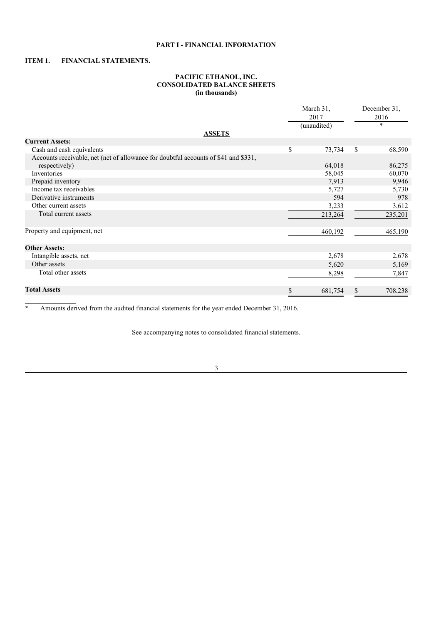# **PART I - FINANCIAL INFORMATION**

# **ITEM 1. FINANCIAL STATEMENTS.**

# **PACIFIC ETHANOL, INC. CONSOLIDATED BALANCE SHEETS (in thousands)**

| 2017<br>2016<br>(unaudited)<br>$\ast$                                               |         |
|-------------------------------------------------------------------------------------|---------|
|                                                                                     |         |
|                                                                                     |         |
| <b>ASSETS</b>                                                                       |         |
| <b>Current Assets:</b>                                                              |         |
| \$<br>\$<br>Cash and cash equivalents<br>73,734                                     | 68,590  |
| Accounts receivable, net (net of allowance for doubtful accounts of \$41 and \$331, |         |
| respectively)<br>64,018                                                             | 86,275  |
| Inventories<br>58,045                                                               | 60,070  |
| Prepaid inventory<br>7,913                                                          | 9,946   |
| Income tax receivables<br>5,727                                                     | 5,730   |
| Derivative instruments<br>594                                                       | 978     |
| Other current assets<br>3,233                                                       | 3,612   |
| Total current assets<br>213,264                                                     | 235,201 |
|                                                                                     |         |
| Property and equipment, net<br>460,192                                              | 465,190 |
|                                                                                     |         |
| <b>Other Assets:</b>                                                                |         |
| 2,678<br>Intangible assets, net                                                     | 2,678   |
| Other assets<br>5,620                                                               | 5,169   |
| Total other assets<br>8,298                                                         | 7,847   |
|                                                                                     |         |
| <b>Total Assets</b><br>S<br>681,754<br>\$                                           | 708,238 |

**\*** Amounts derived from the audited financial statements for the year ended December 31, 2016.

See accompanying notes to consolidated financial statements.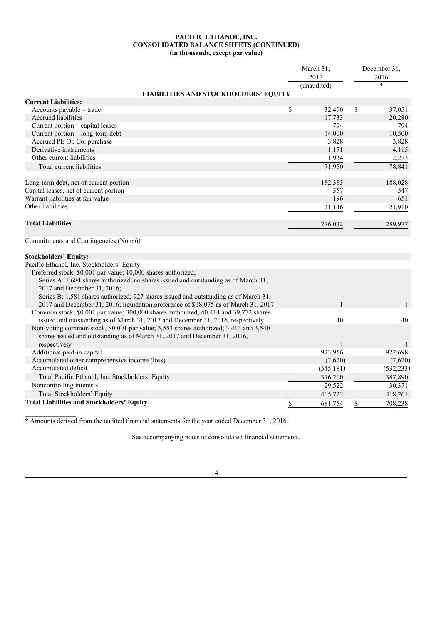### **PACIFIC ETHANOL, INC. CONSOLIDATED BALANCE SHEETS (CONTINUED) (in thousands, except par value)**

|                                                                                                                                                                   | March 31, |              | December 31,  |
|-------------------------------------------------------------------------------------------------------------------------------------------------------------------|-----------|--------------|---------------|
|                                                                                                                                                                   |           | 2017         | 2016          |
|                                                                                                                                                                   |           | (unaudited)  | $\star$       |
| <b>LIABILITIES AND STOCKHOLDERS' EQUITY</b>                                                                                                                       |           |              |               |
| <b>Current Liabilities:</b>                                                                                                                                       |           |              |               |
| Accounts payable - trade                                                                                                                                          | \$        | 32,490       | \$<br>37,051  |
| <b>Accrued</b> liabilities                                                                                                                                        |           | 17,733       | 20,280        |
| Current portion – capital leases                                                                                                                                  |           | 794          | 794           |
| Current portion - long-term debt                                                                                                                                  |           | 14,000       | 10,500        |
| Accrued PE Op Co. purchase                                                                                                                                        |           | 3,828        | 3,828         |
| Derivative instruments                                                                                                                                            |           | 1,171        | 4,115         |
| Other current liabilities                                                                                                                                         |           | 1,934        | 2,273         |
| Total current liabilities                                                                                                                                         |           | 71,950       | 78,841        |
| Long-term debt, net of current portion                                                                                                                            |           | 182,383      | 188,028       |
| Capital leases, net of current portion                                                                                                                            |           | 357          | 547           |
| Warrant liabilities at fair value                                                                                                                                 |           | 196          | 651           |
| Other liabilities                                                                                                                                                 |           | 21,146       | 21,910        |
| <b>Total Liabilities</b>                                                                                                                                          |           | 276,032      | 289,977       |
| Commitments and Contingencies (Note 6)                                                                                                                            |           |              |               |
| <b>Stockholders' Equity:</b>                                                                                                                                      |           |              |               |
| Pacific Ethanol, Inc. Stockholders' Equity:                                                                                                                       |           |              |               |
| Preferred stock, \$0.001 par value; 10,000 shares authorized;                                                                                                     |           |              |               |
| Series A: 1,684 shares authorized; no shares issued and outstanding as of March 31,                                                                               |           |              |               |
| 2017 and December 31, 2016;                                                                                                                                       |           |              |               |
| Series B: 1,581 shares authorized; 927 shares issued and outstanding as of March 31,                                                                              |           |              |               |
| 2017 and December 31, 2016; liquidation preference of \$18,075 as of March 31, 2017                                                                               |           | $\mathbf{1}$ | $\mathbf{1}$  |
| Common stock, \$0.001 par value; 300,000 shares authorized; 40,414 and 39,772 shares                                                                              |           |              |               |
| issued and outstanding as of March 31, 2017 and December 31, 2016, respectively                                                                                   |           | 40           | 40            |
| Non-voting common stock, \$0.001 par value; 3,553 shares authorized; 3,413 and 3,540<br>shares issued and outstanding as of March 31, 2017 and December 31, 2016, |           |              |               |
| respectively                                                                                                                                                      |           | 4            | 4             |
| Additional paid-in capital                                                                                                                                        |           | 923,956      | 922,698       |
| Accumulated other comprehensive income (loss)                                                                                                                     |           | (2,620)      | (2,620)       |
| Accumulated deficit                                                                                                                                               |           | (545, 181)   | (532, 233)    |
| Total Pacific Ethanol, Inc. Stockholders' Equity                                                                                                                  |           | 376,200      | 387,890       |
| Noncontrolling interests                                                                                                                                          |           | 29,522       | 30,371        |
| Total Stockholders' Equity                                                                                                                                        |           | 405,722      | 418,261       |
| <b>Total Liabilities and Stockholders' Equity</b>                                                                                                                 | \$        | 681,754      | \$<br>708,238 |
|                                                                                                                                                                   |           |              |               |

**\*** Amounts derived from the audited financial statements for the year ended December 31, 2016.

See accompanying notes to consolidated financial statements.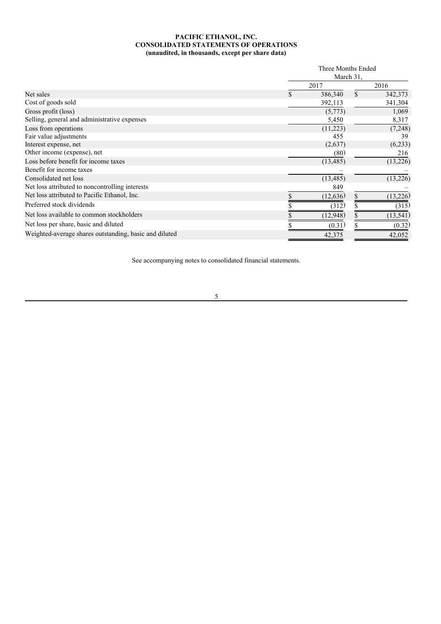# **PACIFIC ETHANOL, INC. CONSOLIDATED STATEMENTS OF OPERATIONS (unaudited, in thousands, except per share data)**

|                                                        | Three Months Ended<br>March 31, |           |               |           |  |
|--------------------------------------------------------|---------------------------------|-----------|---------------|-----------|--|
|                                                        | 2017                            |           | 2016          |           |  |
| Net sales                                              | S.                              | 386,340   | $\mathcal{S}$ | 342,373   |  |
| Cost of goods sold                                     |                                 | 392,113   |               | 341,304   |  |
| Gross profit (loss)                                    |                                 | (5,773)   |               | 1,069     |  |
| Selling, general and administrative expenses           |                                 | 5,450     |               | 8,317     |  |
| Loss from operations                                   |                                 | (11,223)  |               | (7,248)   |  |
| Fair value adjustments                                 |                                 | 455       |               | 39        |  |
| Interest expense, net                                  |                                 | (2,637)   |               | (6,233)   |  |
| Other income (expense), net                            |                                 | (80)      |               | 216       |  |
| Loss before benefit for income taxes                   |                                 | (13, 485) |               | (13,226)  |  |
| Benefit for income taxes                               |                                 |           |               |           |  |
| Consolidated net loss                                  |                                 | (13, 485) |               | (13,226)  |  |
| Net loss attributed to noncontrolling interests        |                                 | 849       |               |           |  |
| Net loss attributed to Pacific Ethanol, Inc.           |                                 | (12, 636) | \$.           | (13,226)  |  |
| Preferred stock dividends                              |                                 | (312)     |               | (315)     |  |
| Net loss available to common stockholders              |                                 | (12, 948) |               | (13, 541) |  |
| Net loss per share, basic and diluted                  |                                 | (0.31)    |               | (0.32)    |  |
| Weighted-average shares outstanding, basic and diluted |                                 | 42,375    |               | 42,052    |  |

See accompanying notes to consolidated financial statements.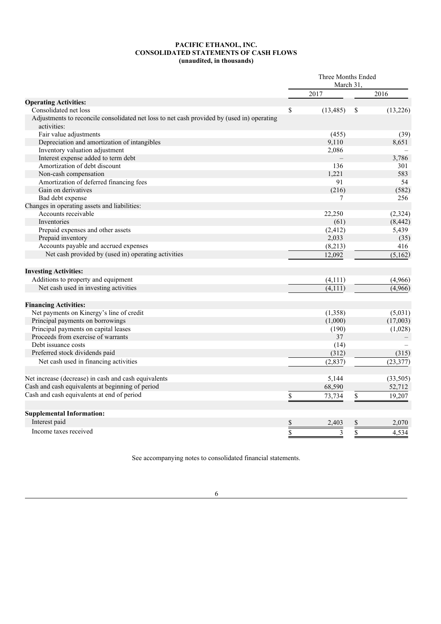### **PACIFIC ETHANOL, INC. CONSOLIDATED STATEMENTS OF CASH FLOWS (unaudited, in thousands)**

|                                                                                                           | Three Months Ended<br>March 31, |                      |    |           |  |
|-----------------------------------------------------------------------------------------------------------|---------------------------------|----------------------|----|-----------|--|
|                                                                                                           |                                 | 2017                 |    | 2016      |  |
| <b>Operating Activities:</b>                                                                              |                                 |                      |    |           |  |
| Consolidated net loss                                                                                     | \$                              | (13, 485)            | \$ | (13,226)  |  |
| Adjustments to reconcile consolidated net loss to net cash provided by (used in) operating<br>activities: |                                 |                      |    |           |  |
| Fair value adjustments                                                                                    |                                 | (455)                |    | (39)      |  |
| Depreciation and amortization of intangibles                                                              |                                 | 9,110                |    | 8,651     |  |
| Inventory valuation adjustment                                                                            |                                 | 2,086                |    |           |  |
| Interest expense added to term debt                                                                       |                                 |                      |    | 3,786     |  |
| Amortization of debt discount                                                                             |                                 | 136                  |    | 301       |  |
| Non-cash compensation                                                                                     |                                 | 1,221                |    | 583       |  |
| Amortization of deferred financing fees                                                                   |                                 | 91                   |    | 54        |  |
| Gain on derivatives                                                                                       |                                 | (216)                |    | (582)     |  |
| Bad debt expense                                                                                          |                                 | 7                    |    | 256       |  |
| Changes in operating assets and liabilities:                                                              |                                 |                      |    |           |  |
| Accounts receivable                                                                                       |                                 | 22,250               |    | (2, 324)  |  |
| Inventories                                                                                               |                                 | (61)                 |    | (8, 442)  |  |
| Prepaid expenses and other assets                                                                         |                                 | (2, 412)             |    | 5,439     |  |
| Prepaid inventory                                                                                         |                                 | 2,033                |    | (35)      |  |
| Accounts payable and accrued expenses                                                                     |                                 | (8,213)              |    | 416       |  |
| Net cash provided by (used in) operating activities                                                       |                                 | 12,092               |    | (5,162)   |  |
| <b>Investing Activities:</b>                                                                              |                                 |                      |    |           |  |
| Additions to property and equipment                                                                       |                                 | (4,111)              |    | (4,966)   |  |
| Net cash used in investing activities                                                                     |                                 | $\overline{(4,111)}$ |    | (4,966)   |  |
| <b>Financing Activities:</b>                                                                              |                                 |                      |    |           |  |
| Net payments on Kinergy's line of credit                                                                  |                                 | (1,358)              |    | (5,031)   |  |
| Principal payments on borrowings                                                                          |                                 | (1,000)              |    | (17,003)  |  |
| Principal payments on capital leases                                                                      |                                 | (190)                |    | (1,028)   |  |
| Proceeds from exercise of warrants                                                                        |                                 | 37                   |    |           |  |
| Debt issuance costs                                                                                       |                                 | (14)                 |    |           |  |
| Preferred stock dividends paid                                                                            |                                 | (312)                |    | (315)     |  |
| Net cash used in financing activities                                                                     |                                 | (2, 837)             |    | (23, 377) |  |
| Net increase (decrease) in cash and cash equivalents                                                      |                                 | 5,144                |    | (33,505)  |  |
| Cash and cash equivalents at beginning of period                                                          |                                 | 68,590               |    | 52,712    |  |
| Cash and cash equivalents at end of period                                                                | \$                              | 73,734               | \$ | 19,207    |  |
| <b>Supplemental Information:</b>                                                                          |                                 |                      |    |           |  |
| Interest paid                                                                                             | \$                              | 2,403                | \$ | 2,070     |  |
| Income taxes received                                                                                     |                                 |                      |    |           |  |
|                                                                                                           | \$                              | 3                    | \$ | 4,534     |  |

See accompanying notes to consolidated financial statements.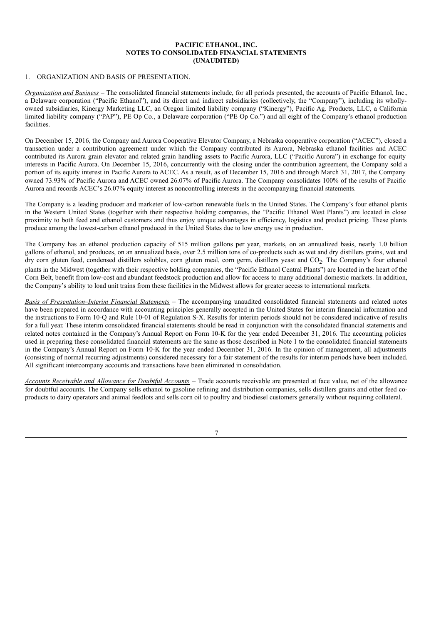### **PACIFIC ETHANOL, INC. NOTES TO CONSOLIDATED FINANCIAL STATEMENTS (UNAUDITED)**

#### 1. ORGANIZATION AND BASIS OF PRESENTATION.

*Organization and Business* – The consolidated financial statements include, for all periods presented, the accounts of Pacific Ethanol, Inc., a Delaware corporation ("Pacific Ethanol"), and its direct and indirect subsidiaries (collectively, the "Company"), including its whollyowned subsidiaries, Kinergy Marketing LLC, an Oregon limited liability company ("Kinergy"), Pacific Ag. Products, LLC, a California limited liability company ("PAP"), PE Op Co., a Delaware corporation ("PE Op Co.") and all eight of the Company's ethanol production facilities.

On December 15, 2016, the Company and Aurora Cooperative Elevator Company, a Nebraska cooperative corporation ("ACEC"), closed a transaction under a contribution agreement under which the Company contributed its Aurora, Nebraska ethanol facilities and ACEC contributed its Aurora grain elevator and related grain handling assets to Pacific Aurora, LLC ("Pacific Aurora") in exchange for equity interests in Pacific Aurora. On December 15, 2016, concurrently with the closing under the contribution agreement, the Company sold a portion of its equity interest in Pacific Aurora to ACEC. As a result, as of December 15, 2016 and through March 31, 2017, the Company owned 73.93% of Pacific Aurora and ACEC owned 26.07% of Pacific Aurora. The Company consolidates 100% of the results of Pacific Aurora and records ACEC's 26.07% equity interest as noncontrolling interests in the accompanying financial statements.

The Company is a leading producer and marketer of low-carbon renewable fuels in the United States. The Company's four ethanol plants in the Western United States (together with their respective holding companies, the "Pacific Ethanol West Plants") are located in close proximity to both feed and ethanol customers and thus enjoy unique advantages in efficiency, logistics and product pricing. These plants produce among the lowest-carbon ethanol produced in the United States due to low energy use in production.

The Company has an ethanol production capacity of 515 million gallons per year, markets, on an annualized basis, nearly 1.0 billion gallons of ethanol, and produces, on an annualized basis, over 2.5 million tons of co-products such as wet and dry distillers grains, wet and dry corn gluten feed, condensed distillers solubles, corn gluten meal, corn germ, distillers yeast and CO<sub>2</sub>. The Company's four ethanol plants in the Midwest (together with their respective holding companies, the "Pacific Ethanol Central Plants") are located in the heart of the Corn Belt, benefit from low-cost and abundant feedstock production and allow for access to many additional domestic markets. In addition, the Company's ability to load unit trains from these facilities in the Midwest allows for greater access to international markets.

*Basis of Presentation*–*Interim Financial Statements* – The accompanying unaudited consolidated financial statements and related notes have been prepared in accordance with accounting principles generally accepted in the United States for interim financial information and the instructions to Form 10-Q and Rule 10-01 of Regulation S-X. Results for interim periods should not be considered indicative of results for a full year. These interim consolidated financial statements should be read in conjunction with the consolidated financial statements and related notes contained in the Company's Annual Report on Form 10-K for the year ended December 31, 2016. The accounting policies used in preparing these consolidated financial statements are the same as those described in Note 1 to the consolidated financial statements in the Company's Annual Report on Form 10-K for the year ended December 31, 2016. In the opinion of management, all adjustments (consisting of normal recurring adjustments) considered necessary for a fair statement of the results for interim periods have been included. All significant intercompany accounts and transactions have been eliminated in consolidation.

*Accounts Receivable and Allowance for Doubtful Accounts* – Trade accounts receivable are presented at face value, net of the allowance for doubtful accounts. The Company sells ethanol to gasoline refining and distribution companies, sells distillers grains and other feed coproducts to dairy operators and animal feedlots and sells corn oil to poultry and biodiesel customers generally without requiring collateral.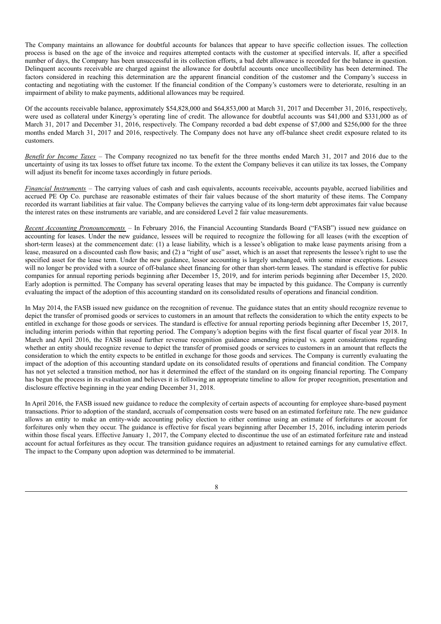The Company maintains an allowance for doubtful accounts for balances that appear to have specific collection issues. The collection process is based on the age of the invoice and requires attempted contacts with the customer at specified intervals. If, after a specified number of days, the Company has been unsuccessful in its collection efforts, a bad debt allowance is recorded for the balance in question. Delinquent accounts receivable are charged against the allowance for doubtful accounts once uncollectibility has been determined. The factors considered in reaching this determination are the apparent financial condition of the customer and the Company's success in contacting and negotiating with the customer. If the financial condition of the Company's customers were to deteriorate, resulting in an impairment of ability to make payments, additional allowances may be required.

Of the accounts receivable balance, approximately \$54,828,000 and \$64,853,000 at March 31, 2017 and December 31, 2016, respectively, were used as collateral under Kinergy's operating line of credit. The allowance for doubtful accounts was \$41,000 and \$331,000 as of March 31, 2017 and December 31, 2016, respectively. The Company recorded a bad debt expense of \$7,000 and \$256,000 for the three months ended March 31, 2017 and 2016, respectively. The Company does not have any off-balance sheet credit exposure related to its customers.

*Benefit for Income Taxes* – The Company recognized no tax benefit for the three months ended March 31, 2017 and 2016 due to the uncertainty of using its tax losses to offset future tax income. To the extent the Company believes it can utilize its tax losses, the Company will adjust its benefit for income taxes accordingly in future periods.

*Financial Instruments* – The carrying values of cash and cash equivalents, accounts receivable, accounts payable, accrued liabilities and accrued PE Op Co. purchase are reasonable estimates of their fair values because of the short maturity of these items. The Company recorded its warrant liabilities at fair value. The Company believes the carrying value of its long-term debt approximates fair value because the interest rates on these instruments are variable, and are considered Level 2 fair value measurements.

*Recent Accounting Pronouncements* – In February 2016, the Financial Accounting Standards Board ("FASB") issued new guidance on accounting for leases. Under the new guidance, lessees will be required to recognize the following for all leases (with the exception of short-term leases) at the commencement date: (1) a lease liability, which is a lessee's obligation to make lease payments arising from a lease, measured on a discounted cash flow basis; and (2) a "right of use" asset, which is an asset that represents the lessee's right to use the specified asset for the lease term. Under the new guidance, lessor accounting is largely unchanged, with some minor exceptions. Lessees will no longer be provided with a source of off-balance sheet financing for other than short-term leases. The standard is effective for public companies for annual reporting periods beginning after December 15, 2019, and for interim periods beginning after December 15, 2020. Early adoption is permitted. The Company has several operating leases that may be impacted by this guidance. The Company is currently evaluating the impact of the adoption of this accounting standard on its consolidated results of operations and financial condition.

In May 2014, the FASB issued new guidance on the recognition of revenue. The guidance states that an entity should recognize revenue to depict the transfer of promised goods or services to customers in an amount that reflects the consideration to which the entity expects to be entitled in exchange for those goods or services. The standard is effective for annual reporting periods beginning after December 15, 2017, including interim periods within that reporting period. The Company's adoption begins with the first fiscal quarter of fiscal year 2018. In March and April 2016, the FASB issued further revenue recognition guidance amending principal vs. agent considerations regarding whether an entity should recognize revenue to depict the transfer of promised goods or services to customers in an amount that reflects the consideration to which the entity expects to be entitled in exchange for those goods and services. The Company is currently evaluating the impact of the adoption of this accounting standard update on its consolidated results of operations and financial condition. The Company has not yet selected a transition method, nor has it determined the effect of the standard on its ongoing financial reporting. The Company has begun the process in its evaluation and believes it is following an appropriate timeline to allow for proper recognition, presentation and disclosure effective beginning in the year ending December 31, 2018.

In April 2016, the FASB issued new guidance to reduce the complexity of certain aspects of accounting for employee share-based payment transactions. Prior to adoption of the standard, accruals of compensation costs were based on an estimated forfeiture rate. The new guidance allows an entity to make an entity-wide accounting policy election to either continue using an estimate of forfeitures or account for forfeitures only when they occur. The guidance is effective for fiscal years beginning after December 15, 2016, including interim periods within those fiscal years. Effective January 1, 2017, the Company elected to discontinue the use of an estimated forfeiture rate and instead account for actual forfeitures as they occur. The transition guidance requires an adjustment to retained earnings for any cumulative effect. The impact to the Company upon adoption was determined to be immaterial.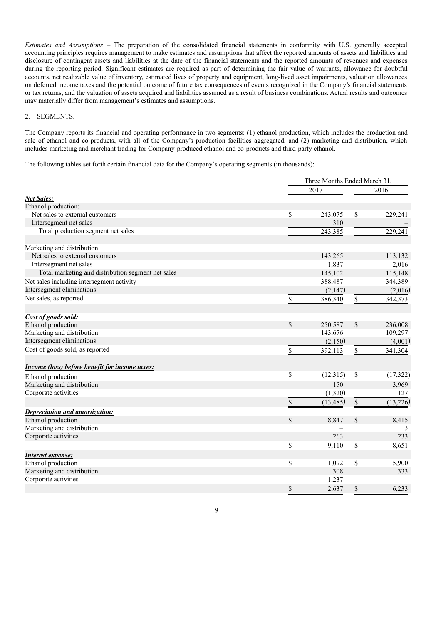*Estimates and Assumptions* – The preparation of the consolidated financial statements in conformity with U.S. generally accepted accounting principles requires management to make estimates and assumptions that affect the reported amounts of assets and liabilities and disclosure of contingent assets and liabilities at the date of the financial statements and the reported amounts of revenues and expenses during the reporting period. Significant estimates are required as part of determining the fair value of warrants, allowance for doubtful accounts, net realizable value of inventory, estimated lives of property and equipment, long-lived asset impairments, valuation allowances on deferred income taxes and the potential outcome of future tax consequences of events recognized in the Company's financial statements or tax returns, and the valuation of assets acquired and liabilities assumed as a result of business combinations. Actual results and outcomes may materially differ from management's estimates and assumptions.

#### 2. SEGMENTS.

The Company reports its financial and operating performance in two segments: (1) ethanol production, which includes the production and sale of ethanol and co-products, with all of the Company's production facilities aggregated, and (2) marketing and distribution, which includes marketing and merchant trading for Company-produced ethanol and co-products and third-party ethanol.

The following tables set forth certain financial data for the Company's operating segments (in thousands):

|                                                       | Three Months Ended March 31, |           |      |           |
|-------------------------------------------------------|------------------------------|-----------|------|-----------|
|                                                       |                              | 2017      | 2016 |           |
| <b>Net Sales:</b>                                     |                              |           |      |           |
| Ethanol production:                                   |                              |           |      |           |
| Net sales to external customers                       | \$                           | 243,075   | \$   | 229,241   |
| Intersegment net sales                                |                              | 310       |      |           |
| Total production segment net sales                    |                              | 243,385   |      | 229,241   |
| Marketing and distribution:                           |                              |           |      |           |
| Net sales to external customers                       |                              | 143,265   |      | 113,132   |
| Intersegment net sales                                |                              | 1,837     |      | 2,016     |
| Total marketing and distribution segment net sales    |                              | 145,102   |      | 115,148   |
| Net sales including intersegment activity             |                              | 388,487   |      | 344,389   |
| Intersegment eliminations                             |                              | (2,147)   |      | (2,016)   |
| Net sales, as reported                                | \$                           | 386,340   | \$   | 342,373   |
| Cost of goods sold:                                   |                              |           |      |           |
| Ethanol production                                    | \$                           | 250,587   | \$   | 236,008   |
| Marketing and distribution                            |                              | 143,676   |      | 109,297   |
| Intersegment eliminations                             |                              | (2,150)   |      | (4,001)   |
| Cost of goods sold, as reported                       | \$                           | 392,113   | \$   | 341,304   |
| <b>Income (loss) before benefit for income taxes:</b> |                              |           |      |           |
| Ethanol production                                    | \$                           | (12, 315) | \$   | (17, 322) |
| Marketing and distribution                            |                              | 150       |      | 3,969     |
| Corporate activities                                  |                              | (1,320)   |      | 127       |
|                                                       | \$                           | (13, 485) | \$   | (13,226)  |
| Depreciation and amortization:                        |                              |           |      |           |
| Ethanol production                                    | \$                           | 8,847     | \$   | 8,415     |
| Marketing and distribution                            |                              |           |      | 3         |
| Corporate activities                                  |                              | 263       |      | 233       |
|                                                       | \$                           | 9,110     | \$   | 8,651     |
| Interest expense:                                     |                              |           |      |           |
| Ethanol production                                    | \$                           | 1,092     | \$   | 5,900     |
| Marketing and distribution                            |                              | 308       |      | 333       |
| Corporate activities                                  |                              | 1,237     |      |           |
|                                                       | \$                           | 2,637     | \$   | 6,233     |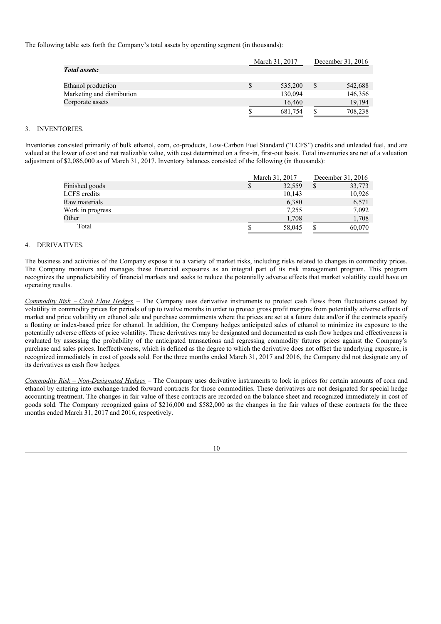The following table sets forth the Company's total assets by operating segment (in thousands):

|                            | March 31, 2017 |   | December 31, 2016 |
|----------------------------|----------------|---|-------------------|
| Total assets:              |                |   |                   |
|                            |                |   |                   |
| Ethanol production         | 535,200        | S | 542,688           |
| Marketing and distribution | 130,094        |   | 146,356           |
| Corporate assets           | 16.460         |   | 19.194            |
|                            | 681,754        | S | 708,238           |

### 3. INVENTORIES.

Inventories consisted primarily of bulk ethanol, corn, co-products, Low-Carbon Fuel Standard ("LCFS") credits and unleaded fuel, and are valued at the lower of cost and net realizable value, with cost determined on a first-in, first-out basis. Total inventories are net of a valuation adjustment of \$2,086,000 as of March 31, 2017. Inventory balances consisted of the following (in thousands):

|                  | March 31, 2017 |  |        |
|------------------|----------------|--|--------|
| Finished goods   | 32,559         |  | 33,773 |
| LCFS credits     | 10,143         |  | 10,926 |
| Raw materials    | 6,380          |  | 6,571  |
| Work in progress | 7,255          |  | 7,092  |
| Other            | 1,708          |  | 1,708  |
| Total            | 58,045         |  | 60,070 |

### 4. DERIVATIVES.

The business and activities of the Company expose it to a variety of market risks, including risks related to changes in commodity prices. The Company monitors and manages these financial exposures as an integral part of its risk management program. This program recognizes the unpredictability of financial markets and seeks to reduce the potentially adverse effects that market volatility could have on operating results.

*Commodity Risk* – *Cash Flow Hedges* – The Company uses derivative instruments to protect cash flows from fluctuations caused by volatility in commodity prices for periods of up to twelve months in order to protect gross profit margins from potentially adverse effects of market and price volatility on ethanol sale and purchase commitments where the prices are set at a future date and/or if the contracts specify a floating or index-based price for ethanol. In addition, the Company hedges anticipated sales of ethanol to minimize its exposure to the potentially adverse effects of price volatility. These derivatives may be designated and documented as cash flow hedges and effectiveness is evaluated by assessing the probability of the anticipated transactions and regressing commodity futures prices against the Company's purchase and sales prices. Ineffectiveness, which is defined as the degree to which the derivative does not offset the underlying exposure, is recognized immediately in cost of goods sold. For the three months ended March 31, 2017 and 2016, the Company did not designate any of its derivatives as cash flow hedges.

*Commodity Risk – Non-Designated Hedges* – The Company uses derivative instruments to lock in prices for certain amounts of corn and ethanol by entering into exchange-traded forward contracts for those commodities. These derivatives are not designated for special hedge accounting treatment. The changes in fair value of these contracts are recorded on the balance sheet and recognized immediately in cost of goods sold. The Company recognized gains of \$216,000 and \$582,000 as the changes in the fair values of these contracts for the three months ended March 31, 2017 and 2016, respectively.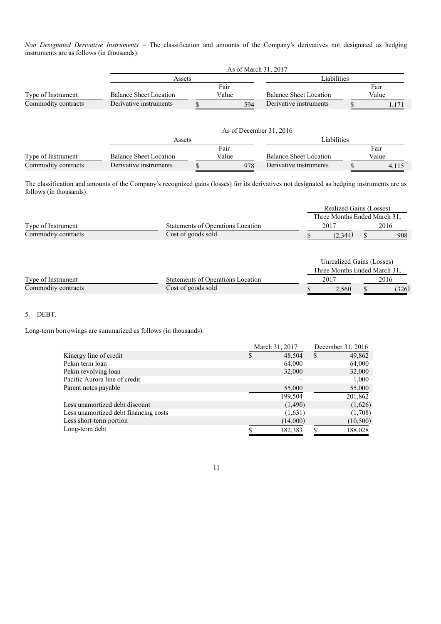*Non Designated Derivative Instruments* – The classification and amounts of the Company's derivatives not designated as hedging instruments are as follows (in thousands):

|                     |                               | As of March 31, 2017 |       |     |                               |  |       |  |  |
|---------------------|-------------------------------|----------------------|-------|-----|-------------------------------|--|-------|--|--|
|                     |                               | Assets               |       |     | Liabilities                   |  |       |  |  |
|                     |                               |                      | Fair  |     |                               |  | Fair  |  |  |
| Type of Instrument  | <b>Balance Sheet Location</b> |                      | Value |     | <b>Balance Sheet Location</b> |  | Value |  |  |
| Commodity contracts | Derivative instruments        |                      |       | 594 | Derivative instruments        |  | 1,171 |  |  |

|                     |                               | As of December $31, 2016$ |       |     |                               |  |       |  |
|---------------------|-------------------------------|---------------------------|-------|-----|-------------------------------|--|-------|--|
|                     |                               | Assets                    |       |     | Liabilities                   |  |       |  |
|                     |                               |                           | Fair  |     |                               |  | Fair  |  |
| Type of Instrument  | <b>Balance Sheet Location</b> |                           | Value |     | <b>Balance Sheet Location</b> |  | Value |  |
| Commodity contracts | Derivative instruments        |                           |       | 978 | Derivative instruments        |  | 4.115 |  |

The classification and amounts of the Company's recognized gains (losses) for its derivatives not designated as hedging instruments are as follows (in thousands):

|                     |                                   | Realized Gains (Losses) |                                                                                                                                                                                                                                                                                                                                    |  |      |  |  |
|---------------------|-----------------------------------|-------------------------|------------------------------------------------------------------------------------------------------------------------------------------------------------------------------------------------------------------------------------------------------------------------------------------------------------------------------------|--|------|--|--|
|                     |                                   |                         | Three Months Ended March 31,                                                                                                                                                                                                                                                                                                       |  |      |  |  |
| Type of Instrument  | Statements of Operations Location |                         | 2017                                                                                                                                                                                                                                                                                                                               |  | 2016 |  |  |
| Commodity contracts | Cost of goods sold                |                         | (2,344)                                                                                                                                                                                                                                                                                                                            |  | 908  |  |  |
|                     |                                   |                         |                                                                                                                                                                                                                                                                                                                                    |  |      |  |  |
|                     |                                   |                         |                                                                                                                                                                                                                                                                                                                                    |  |      |  |  |
|                     |                                   |                         | $\mathbf{I}$ $\mathbf{I}$ $\mathbf{I}$ $\mathbf{A}$ $\mathbf{I}$ $\mathbf{I}$ $\mathbf{I}$ $\mathbf{I}$ $\mathbf{I}$ $\mathbf{I}$ $\mathbf{I}$ $\mathbf{I}$ $\mathbf{I}$ $\mathbf{I}$ $\mathbf{I}$ $\mathbf{I}$ $\mathbf{I}$ $\mathbf{I}$ $\mathbf{I}$ $\mathbf{I}$ $\mathbf{I}$ $\mathbf{I}$ $\mathbf{I}$ $\mathbf{I}$ $\mathbf{$ |  |      |  |  |

|                                                         |                    | Unrealized Gains (Losses)    |  |       |  |  |
|---------------------------------------------------------|--------------------|------------------------------|--|-------|--|--|
|                                                         |                    | Three Months Ended March 31. |  |       |  |  |
| Type of Instrument<br>Statements of Operations Location |                    | 2017                         |  | 2016  |  |  |
| Commodity contracts                                     | Cost of goods sold | 2.560                        |  | (326) |  |  |

# 5. DEBT.

Long-term borrowings are summarized as follows (in thousands):

|                                       | March 31, 2017 | December 31, 2016 |   |          |
|---------------------------------------|----------------|-------------------|---|----------|
| Kinergy line of credit                |                | 48,504            | S | 49,862   |
| Pekin term loan                       |                | 64,000            |   | 64,000   |
| Pekin revolving loan                  |                | 32,000            |   | 32,000   |
| Pacific Aurora line of credit         |                |                   |   | 1,000    |
| Parent notes payable                  |                | 55,000            |   | 55,000   |
|                                       |                | 199,504           |   | 201,862  |
| Less unamortized debt discount        |                | (1,490)           |   | (1,626)  |
| Less unamortized debt financing costs |                | (1,631)           |   | (1,708)  |
| Less short-term portion               |                | (14,000)          |   | (10,500) |
| Long-term debt                        |                | 182,383           |   | 188,028  |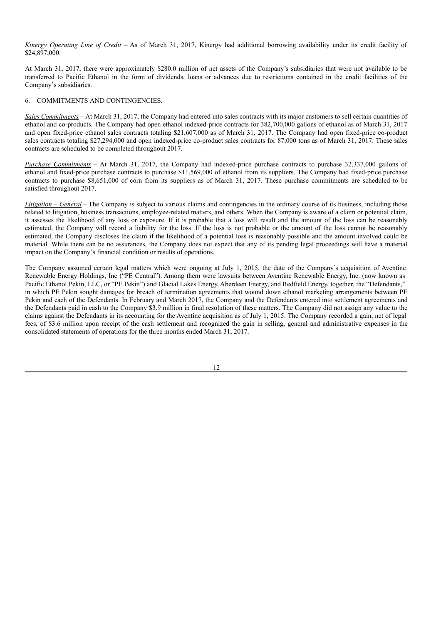*Kinergy Operating Line of Credit* – As of March 31, 2017, Kinergy had additional borrowing availability under its credit facility of \$24,897,000.

At March 31, 2017, there were approximately \$280.0 million of net assets of the Company's subsidiaries that were not available to be transferred to Pacific Ethanol in the form of dividends, loans or advances due to restrictions contained in the credit facilities of the Company's subsidiaries.

## 6. COMMITMENTS AND CONTINGENCIES.

*Sales Commitments* – At March 31, 2017, the Company had entered into sales contracts with its major customers to sell certain quantities of ethanol and co-products. The Company had open ethanol indexed-price contracts for 382,700,000 gallons of ethanol as of March 31, 2017 and open fixed-price ethanol sales contracts totaling \$21,607,000 as of March 31, 2017. The Company had open fixed-price co-product sales contracts totaling \$27,294,000 and open indexed-price co-product sales contracts for 87,000 tons as of March 31, 2017. These sales contracts are scheduled to be completed throughout 2017.

*Purchase Commitments* – At March 31, 2017, the Company had indexed-price purchase contracts to purchase 32,337,000 gallons of ethanol and fixed-price purchase contracts to purchase \$11,569,000 of ethanol from its suppliers. The Company had fixed-price purchase contracts to purchase \$8,651,000 of corn from its suppliers as of March 31, 2017. These purchase commitments are scheduled to be satisfied throughout 2017.

*Litigation* – *General* – The Company is subject to various claims and contingencies in the ordinary course of its business, including those related to litigation, business transactions, employee-related matters, and others. When the Company is aware of a claim or potential claim, it assesses the likelihood of any loss or exposure. If it is probable that a loss will result and the amount of the loss can be reasonably estimated, the Company will record a liability for the loss. If the loss is not probable or the amount of the loss cannot be reasonably estimated, the Company discloses the claim if the likelihood of a potential loss is reasonably possible and the amount involved could be material. While there can be no assurances, the Company does not expect that any of its pending legal proceedings will have a material impact on the Company's financial condition or results of operations.

The Company assumed certain legal matters which were ongoing at July 1, 2015, the date of the Company's acquisition of Aventine Renewable Energy Holdings, Inc ("PE Central"). Among them were lawsuits between Aventine Renewable Energy, Inc. (now known as Pacific Ethanol Pekin, LLC, or "PE Pekin") and Glacial Lakes Energy, Aberdeen Energy, and Redfield Energy, together, the "Defendants," in which PE Pekin sought damages for breach of termination agreements that wound down ethanol marketing arrangements between PE Pekin and each of the Defendants. In February and March 2017, the Company and the Defendants entered into settlement agreements and the Defendants paid in cash to the Company \$3.9 million in final resolution of these matters. The Company did not assign any value to the claims against the Defendants in its accounting for the Aventine acquisition as of July 1, 2015. The Company recorded a gain, net of legal fees, of \$3.6 million upon receipt of the cash settlement and recognized the gain in selling, general and administrative expenses in the consolidated statements of operations for the three months ended March 31, 2017.

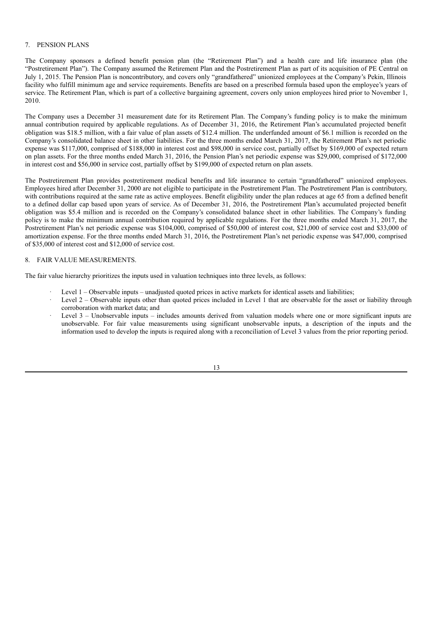#### 7. PENSION PLANS

The Company sponsors a defined benefit pension plan (the "Retirement Plan") and a health care and life insurance plan (the "Postretirement Plan"). The Company assumed the Retirement Plan and the Postretirement Plan as part of its acquisition of PE Central on July 1, 2015. The Pension Plan is noncontributory, and covers only "grandfathered" unionized employees at the Company's Pekin, Illinois facility who fulfill minimum age and service requirements. Benefits are based on a prescribed formula based upon the employee's years of service. The Retirement Plan, which is part of a collective bargaining agreement, covers only union employees hired prior to November 1, 2010.

The Company uses a December 31 measurement date for its Retirement Plan. The Company's funding policy is to make the minimum annual contribution required by applicable regulations. As of December 31, 2016, the Retirement Plan's accumulated projected benefit obligation was \$18.5 million, with a fair value of plan assets of \$12.4 million. The underfunded amount of \$6.1 million is recorded on the Company's consolidated balance sheet in other liabilities. For the three months ended March 31, 2017, the Retirement Plan's net periodic expense was \$117,000, comprised of \$188,000 in interest cost and \$98,000 in service cost, partially offset by \$169,000 of expected return on plan assets. For the three months ended March 31, 2016, the Pension Plan's net periodic expense was \$29,000, comprised of \$172,000 in interest cost and \$56,000 in service cost, partially offset by \$199,000 of expected return on plan assets.

The Postretirement Plan provides postretirement medical benefits and life insurance to certain "grandfathered" unionized employees. Employees hired after December 31, 2000 are not eligible to participate in the Postretirement Plan. The Postretirement Plan is contributory, with contributions required at the same rate as active employees. Benefit eligibility under the plan reduces at age 65 from a defined benefit to a defined dollar cap based upon years of service. As of December 31, 2016, the Postretirement Plan's accumulated projected benefit obligation was \$5.4 million and is recorded on the Company's consolidated balance sheet in other liabilities. The Company's funding policy is to make the minimum annual contribution required by applicable regulations. For the three months ended March 31, 2017, the Postretirement Plan's net periodic expense was \$104,000, comprised of \$50,000 of interest cost, \$21,000 of service cost and \$33,000 of amortization expense. For the three months ended March 31, 2016, the Postretirement Plan's net periodic expense was \$47,000, comprised of \$35,000 of interest cost and \$12,000 of service cost.

#### 8. FAIR VALUE MEASUREMENTS.

The fair value hierarchy prioritizes the inputs used in valuation techniques into three levels, as follows:

- Level  $1 -$ Observable inputs unadjusted quoted prices in active markets for identical assets and liabilities;
- Level 2 Observable inputs other than quoted prices included in Level 1 that are observable for the asset or liability through corroboration with market data; and
- Level 3 Unobservable inputs includes amounts derived from valuation models where one or more significant inputs are unobservable. For fair value measurements using significant unobservable inputs, a description of the inputs and the information used to develop the inputs is required along with a reconciliation of Level 3 values from the prior reporting period.

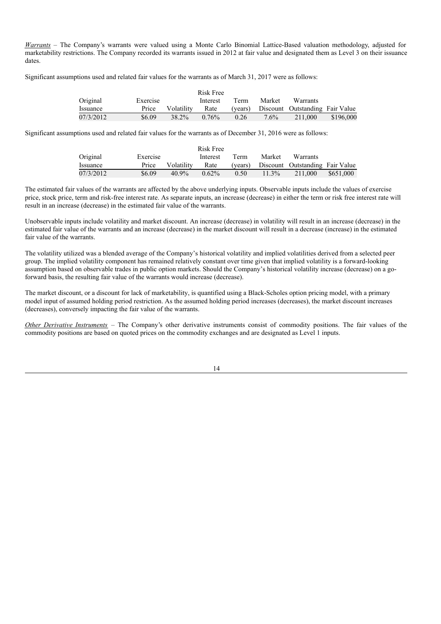*Warrants* – The Company's warrants were valued using a Monte Carlo Binomial Lattice-Based valuation methodology, adjusted for marketability restrictions. The Company recorded its warrants issued in 2012 at fair value and designated them as Level 3 on their issuance dates.

Significant assumptions used and related fair values for the warrants as of March 31, 2017 were as follows:

|           |          |            | Risk Free |      |         |                                         |           |
|-----------|----------|------------|-----------|------|---------|-----------------------------------------|-----------|
| Original  | Exercise |            | Interest  | Term | Market  | <i>Warrants</i>                         |           |
| Issuance  | Price    | Volatility | Rate      |      |         | (years) Discount Outstanding Fair Value |           |
| 07/3/2012 | \$6.09   | 38.2%      | $0.76\%$  | 0.26 | $7.6\%$ | 211,000                                 | \$196,000 |

Significant assumptions used and related fair values for the warrants as of December 31, 2016 were as follows:

|           |          |            | Risk Free |         |          |                                 |           |
|-----------|----------|------------|-----------|---------|----------|---------------------------------|-----------|
| Original  | Exercise |            | Interest  | Term    | Market   | Warrants                        |           |
| Issuance  | Price    | Volatility | Rate      | (vears) |          | Discount Outstanding Fair Value |           |
| 07/3/2012 | \$6.09   | $40.9\%$   | $0.62\%$  | 0.50    | $11.3\%$ | 211,000                         | \$651,000 |

The estimated fair values of the warrants are affected by the above underlying inputs. Observable inputs include the values of exercise price, stock price, term and risk-free interest rate. As separate inputs, an increase (decrease) in either the term or risk free interest rate will result in an increase (decrease) in the estimated fair value of the warrants.

Unobservable inputs include volatility and market discount. An increase (decrease) in volatility will result in an increase (decrease) in the estimated fair value of the warrants and an increase (decrease) in the market discount will result in a decrease (increase) in the estimated fair value of the warrants.

The volatility utilized was a blended average of the Company's historical volatility and implied volatilities derived from a selected peer group. The implied volatility component has remained relatively constant over time given that implied volatility is a forward-looking assumption based on observable trades in public option markets. Should the Company's historical volatility increase (decrease) on a goforward basis, the resulting fair value of the warrants would increase (decrease).

The market discount, or a discount for lack of marketability, is quantified using a Black-Scholes option pricing model, with a primary model input of assumed holding period restriction. As the assumed holding period increases (decreases), the market discount increases (decreases), conversely impacting the fair value of the warrants.

*Other Derivative Instruments* – The Company's other derivative instruments consist of commodity positions. The fair values of the commodity positions are based on quoted prices on the commodity exchanges and are designated as Level 1 inputs.

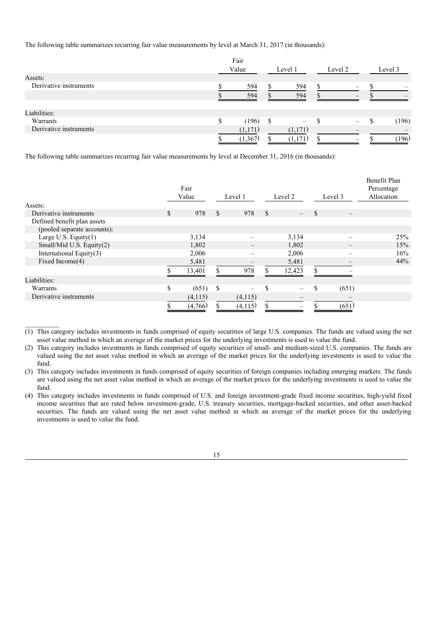The following table summarizes recurring fair value measurements by level at March 31, 2017 (in thousands):

|                        | Value |         |   | Level 1                  |  | Level 2                  |  | Level 3 |
|------------------------|-------|---------|---|--------------------------|--|--------------------------|--|---------|
| Assets:                |       |         |   |                          |  |                          |  |         |
| Derivative instruments |       | 594     | S | 594                      |  |                          |  |         |
|                        |       | 594     |   | 594                      |  |                          |  |         |
| Liabilities:           |       |         |   |                          |  |                          |  |         |
| Warrants               | \$    | (196)   | S | $\overline{\phantom{0}}$ |  | $\overline{\phantom{0}}$ |  | (196)   |
| Derivative instruments |       | (1,171) |   | (1,171)                  |  |                          |  |         |
|                        |       | (1.367) |   | 17                       |  |                          |  | (196)   |

The following table summarizes recurring fair value measurements by level at December 31, 2016 (in thousands):

| Assets:                     | Fair<br>Value |               | Level 1 |               | Level 2 |               | Level 3 | Benefit Plan<br>Percentage<br>Allocation |
|-----------------------------|---------------|---------------|---------|---------------|---------|---------------|---------|------------------------------------------|
| Derivative instruments      | \$<br>978     | <sup>\$</sup> | 978     | $\mathcal{S}$ |         | <sup>\$</sup> |         |                                          |
| Defined benefit plan assets |               |               |         |               |         |               |         |                                          |
| (pooled separate accounts): |               |               |         |               |         |               |         |                                          |
| Large U.S. Equity $(1)$     | 3,134         |               |         |               | 3,134   |               |         | 25%                                      |
| Small/Mid U.S. Equity(2)    | 1,802         |               |         |               | 1,802   |               |         | 15%                                      |
| International Equity(3)     | 2,006         |               |         |               | 2,006   |               |         | 16%                                      |
| Fixed Income(4)             | 5,481         |               |         |               | 5,481   |               |         | 44%                                      |
|                             | 13,401        |               | 978     |               | 12,423  | S             |         |                                          |
| Liabilities:                |               |               |         |               |         |               |         |                                          |
| Warrants                    | \$<br>(651)   | S             |         | \$            |         | \$            | (651)   |                                          |
| Derivative instruments      | (4,115)       |               | (4,115) |               |         |               |         |                                          |
|                             | (4,766)       |               | (4,115) |               |         |               | (651)   |                                          |

 $\overline{(1)}$  This category includes investments in funds comprised of equity securities of large U.S. companies. The funds are valued using the net asset value method in which an average of the market prices for the underlying investments is used to value the fund.

(2) This category includes investments in funds comprised of equity securities of small- and medium-sized U.S. companies. The funds are valued using the net asset value method in which an average of the market prices for the underlying investments is used to value the fund.

(3) This category includes investments in funds comprised of equity securities of foreign companies including emerging markets. The funds are valued using the net asset value method in which an average of the market prices for the underlying investments is used to value the fund.

(4) This category includes investments in funds comprised of U.S. and foreign investment-grade fixed income securities, high-yield fixed income securities that are rated below investment-grade, U.S. treasury securities, mortgage-backed securities, and other asset-backed securities. The funds are valued using the net asset value method in which an average of the market prices for the underlying investments is used to value the fund.

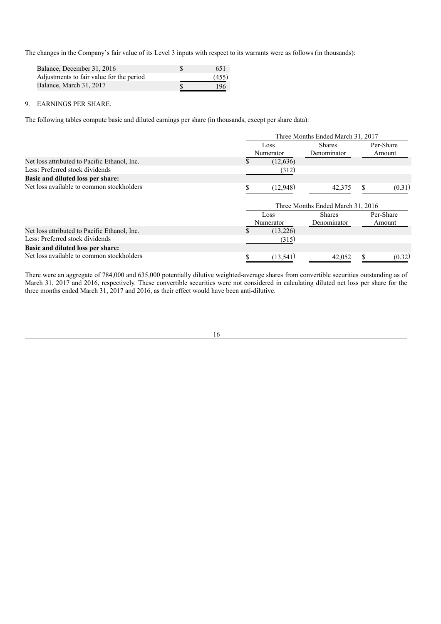The changes in the Company's fair value of its Level 3 inputs with respect to its warrants were as follows (in thousands):

| Balance, December 31, 2016               | 651   |
|------------------------------------------|-------|
| Adjustments to fair value for the period | (455) |
| Balance, March 31, 2017                  | 196   |

### 9. EARNINGS PER SHARE.

The following tables compute basic and diluted earnings per share (in thousands, except per share data):

|                                              |                                   |           |               | Three Months Ended March 31, 2017 |        |  |
|----------------------------------------------|-----------------------------------|-----------|---------------|-----------------------------------|--------|--|
|                                              |                                   | Loss      | <b>Shares</b> | Per-Share                         |        |  |
|                                              |                                   | Numerator |               | Amount                            |        |  |
| Net loss attributed to Pacific Ethanol, Inc. |                                   | (12, 636) |               |                                   |        |  |
| Less: Preferred stock dividends              |                                   | (312)     |               |                                   |        |  |
| Basic and diluted loss per share:            |                                   |           |               |                                   |        |  |
| Net loss available to common stockholders    |                                   | (12,948)  | 42,375        | \$.                               | (0.31) |  |
|                                              | Three Months Ended March 31, 2016 |           |               |                                   |        |  |
|                                              |                                   | Loss      | <b>Shares</b> | Per-Share                         |        |  |
|                                              |                                   | Numerator | Denominator   | Amount                            |        |  |
| Net loss attributed to Pacific Ethanol, Inc. |                                   | (13,226)  |               |                                   |        |  |
| Less: Preferred stock dividends              |                                   | (315)     |               |                                   |        |  |
| Basic and diluted loss per share:            |                                   |           |               |                                   |        |  |
| Net loss available to common stockholders    |                                   | (13, 541) | 42,052        |                                   | (0.32) |  |

There were an aggregate of 784,000 and 635,000 potentially dilutive weighted-average shares from convertible securities outstanding as of March 31, 2017 and 2016, respectively. These convertible securities were not considered in calculating diluted net loss per share for the three months ended March 31, 2017 and 2016, as their effect would have been anti-dilutive.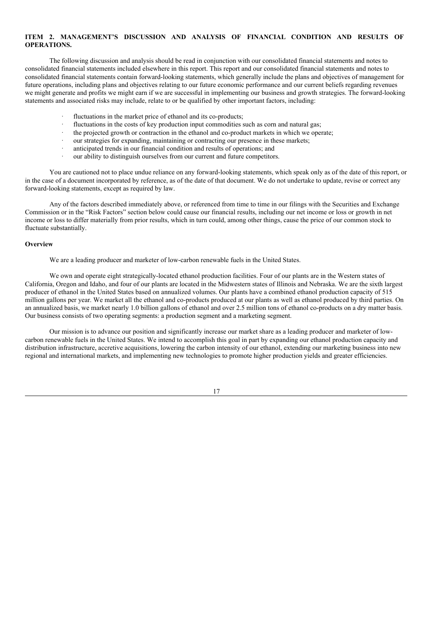# **ITEM 2. MANAGEMENT'S DISCUSSION AND ANALYSIS OF FINANCIAL CONDITION AND RESULTS OF OPERATIONS.**

The following discussion and analysis should be read in conjunction with our consolidated financial statements and notes to consolidated financial statements included elsewhere in this report. This report and our consolidated financial statements and notes to consolidated financial statements contain forward-looking statements, which generally include the plans and objectives of management for future operations, including plans and objectives relating to our future economic performance and our current beliefs regarding revenues we might generate and profits we might earn if we are successful in implementing our business and growth strategies. The forward-looking statements and associated risks may include, relate to or be qualified by other important factors, including:

- fluctuations in the market price of ethanol and its co-products;
- fluctuations in the costs of key production input commodities such as corn and natural gas;
- · the projected growth or contraction in the ethanol and co-product markets in which we operate;
- our strategies for expanding, maintaining or contracting our presence in these markets;
- anticipated trends in our financial condition and results of operations; and
- our ability to distinguish ourselves from our current and future competitors.

You are cautioned not to place undue reliance on any forward-looking statements, which speak only as of the date of this report, or in the case of a document incorporated by reference, as of the date of that document. We do not undertake to update, revise or correct any forward-looking statements, except as required by law.

Any of the factors described immediately above, or referenced from time to time in our filings with the Securities and Exchange Commission or in the "Risk Factors" section below could cause our financial results, including our net income or loss or growth in net income or loss to differ materially from prior results, which in turn could, among other things, cause the price of our common stock to fluctuate substantially.

#### **Overview**

We are a leading producer and marketer of low-carbon renewable fuels in the United States.

We own and operate eight strategically-located ethanol production facilities. Four of our plants are in the Western states of California, Oregon and Idaho, and four of our plants are located in the Midwestern states of Illinois and Nebraska. We are the sixth largest producer of ethanol in the United States based on annualized volumes. Our plants have a combined ethanol production capacity of 515 million gallons per year. We market all the ethanol and co-products produced at our plants as well as ethanol produced by third parties. On an annualized basis, we market nearly 1.0 billion gallons of ethanol and over 2.5 million tons of ethanol co-products on a dry matter basis. Our business consists of two operating segments: a production segment and a marketing segment.

Our mission is to advance our position and significantly increase our market share as a leading producer and marketer of lowcarbon renewable fuels in the United States. We intend to accomplish this goal in part by expanding our ethanol production capacity and distribution infrastructure, accretive acquisitions, lowering the carbon intensity of our ethanol, extending our marketing business into new regional and international markets, and implementing new technologies to promote higher production yields and greater efficiencies.

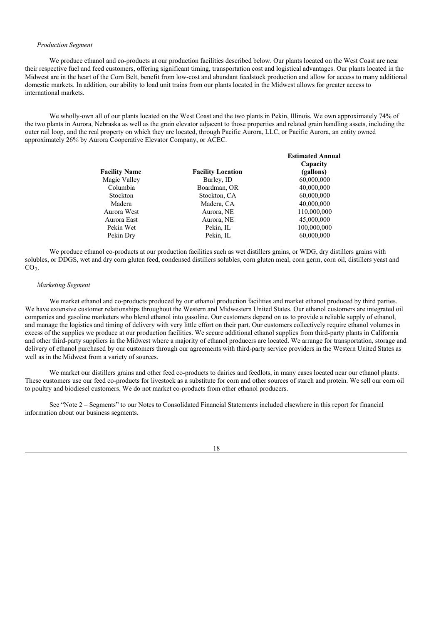#### *Production Segment*

We produce ethanol and co-products at our production facilities described below. Our plants located on the West Coast are near their respective fuel and feed customers, offering significant timing, transportation cost and logistical advantages. Our plants located in the Midwest are in the heart of the Corn Belt, benefit from low-cost and abundant feedstock production and allow for access to many additional domestic markets. In addition, our ability to load unit trains from our plants located in the Midwest allows for greater access to international markets.

We wholly-own all of our plants located on the West Coast and the two plants in Pekin, Illinois. We own approximately 74% of the two plants in Aurora, Nebraska as well as the grain elevator adjacent to those properties and related grain handling assets, including the outer rail loop, and the real property on which they are located, through Pacific Aurora, LLC, or Pacific Aurora, an entity owned approximately 26% by Aurora Cooperative Elevator Company, or ACEC.

| Capacity                                                      |  |
|---------------------------------------------------------------|--|
| (gallons)<br><b>Facility Name</b><br><b>Facility Location</b> |  |
| Magic Valley<br>60,000,000<br>Burley, ID                      |  |
| Columbia<br>40,000,000<br>Boardman, OR                        |  |
| 60,000,000<br><b>Stockton</b><br>Stockton, CA                 |  |
| 40,000,000<br>Madera<br>Madera, CA                            |  |
| 110,000,000<br>Aurora West<br>Aurora, NE                      |  |
| 45,000,000<br>Aurora, NE<br>Aurora East                       |  |
| 100,000,000<br>Pekin Wet<br>Pekin, IL                         |  |
| 60,000,000<br>Pekin, IL<br>Pekin Dry                          |  |

We produce ethanol co-products at our production facilities such as wet distillers grains, or WDG, dry distillers grains with solubles, or DDGS, wet and dry corn gluten feed, condensed distillers solubles, corn gluten meal, corn germ, corn oil, distillers yeast and  $CO<sub>2</sub>$ .

#### *Marketing Segment*

We market ethanol and co-products produced by our ethanol production facilities and market ethanol produced by third parties. We have extensive customer relationships throughout the Western and Midwestern United States. Our ethanol customers are integrated oil companies and gasoline marketers who blend ethanol into gasoline. Our customers depend on us to provide a reliable supply of ethanol, and manage the logistics and timing of delivery with very little effort on their part. Our customers collectively require ethanol volumes in excess of the supplies we produce at our production facilities. We secure additional ethanol supplies from third-party plants in California and other third-party suppliers in the Midwest where a majority of ethanol producers are located. We arrange for transportation, storage and delivery of ethanol purchased by our customers through our agreements with third-party service providers in the Western United States as well as in the Midwest from a variety of sources.

We market our distillers grains and other feed co-products to dairies and feedlots, in many cases located near our ethanol plants. These customers use our feed co-products for livestock as a substitute for corn and other sources of starch and protein. We sell our corn oil to poultry and biodiesel customers. We do not market co-products from other ethanol producers.

See "Note 2 – Segments" to our Notes to Consolidated Financial Statements included elsewhere in this report for financial information about our business segments.

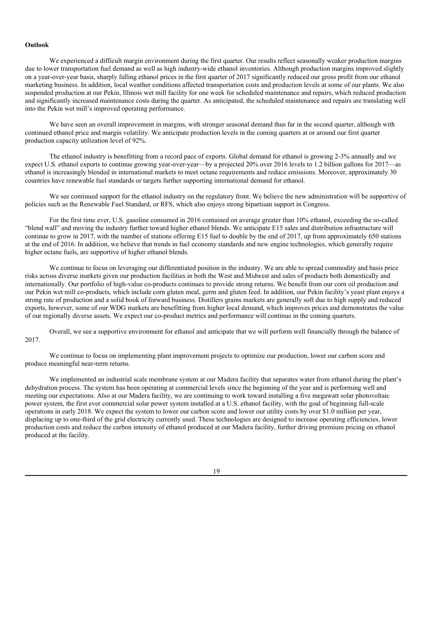#### **Outlook**

We experienced a difficult margin environment during the first quarter. Our results reflect seasonally weaker production margins due to lower transportation fuel demand as well as high industry-wide ethanol inventories. Although production margins improved slightly on a year-over-year basis, sharply falling ethanol prices in the first quarter of 2017 significantly reduced our gross profit from our ethanol marketing business. In addition, local weather conditions affected transportation costs and production levels at some of our plants. We also suspended production at our Pekin, Illinois wet mill facility for one week for scheduled maintenance and repairs, which reduced production and significantly increased maintenance costs during the quarter. As anticipated, the scheduled maintenance and repairs are translating well into the Pekin wet mill's improved operating performance.

We have seen an overall improvement in margins, with stronger seasonal demand thus far in the second quarter, although with continued ethanol price and margin volatility. We anticipate production levels in the coming quarters at or around our first quarter production capacity utilization level of 92%.

The ethanol industry is benefitting from a record pace of exports. Global demand for ethanol is growing 2-3% annually and we expect U.S. ethanol exports to continue growing year-over-year—by a projected 20% over 2016 levels to 1.2 billion gallons for 2017—as ethanol is increasingly blended in international markets to meet octane requirements and reduce emissions. Moreover, approximately 30 countries have renewable fuel standards or targets further supporting international demand for ethanol.

We see continued support for the ethanol industry on the regulatory front. We believe the new administration will be supportive of policies such as the Renewable Fuel Standard, or RFS, which also enjoys strong bipartisan support in Congress.

For the first time ever, U.S. gasoline consumed in 2016 contained on average greater than 10% ethanol, exceeding the so-called "blend wall" and moving the industry further toward higher ethanol blends. We anticipate E15 sales and distribution infrastructure will continue to grow in 2017, with the number of stations offering E15 fuel to double by the end of 2017, up from approximately 650 stations at the end of 2016. In addition, we believe that trends in fuel economy standards and new engine technologies, which generally require higher octane fuels, are supportive of higher ethanol blends.

We continue to focus on leveraging our differentiated position in the industry. We are able to spread commodity and basis price risks across diverse markets given our production facilities in both the West and Midwest and sales of products both domestically and internationally. Our portfolio of high-value co-products continues to provide strong returns. We benefit from our corn oil production and our Pekin wet mill co-products, which include corn gluten meal, germ and gluten feed. In addition, our Pekin facility's yeast plant enjoys a strong rate of production and a solid book of forward business. Distillers grains markets are generally soft due to high supply and reduced exports, however, some of our WDG markets are benefitting from higher local demand, which improves prices and demonstrates the value of our regionally diverse assets. We expect our co-product metrics and performance will continue in the coming quarters.

Overall, we see a supportive environment for ethanol and anticipate that we will perform well financially through the balance of 2017.

We continue to focus on implementing plant improvement projects to optimize our production, lower our carbon score and produce meaningful near-term returns.

We implemented an industrial scale membrane system at our Madera facility that separates water from ethanol during the plant's dehydration process. The system has been operating at commercial levels since the beginning of the year and is performing well and meeting our expectations. Also at our Madera facility, we are continuing to work toward installing a five megawatt solar photovoltaic power system, the first ever commercial solar power system installed at a U.S. ethanol facility, with the goal of beginning full-scale operations in early 2018. We expect the system to lower our carbon score and lower our utility costs by over \$1.0 million per year, displacing up to one-third of the grid electricity currently used. These technologies are designed to increase operating efficiencies, lower production costs and reduce the carbon intensity of ethanol produced at our Madera facility, further driving premium pricing on ethanol produced at the facility.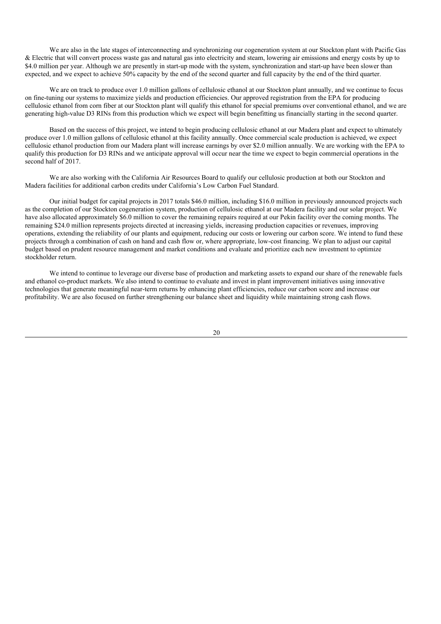We are also in the late stages of interconnecting and synchronizing our cogeneration system at our Stockton plant with Pacific Gas & Electric that will convert process waste gas and natural gas into electricity and steam, lowering air emissions and energy costs by up to \$4.0 million per year. Although we are presently in start-up mode with the system, synchronization and start-up have been slower than expected, and we expect to achieve 50% capacity by the end of the second quarter and full capacity by the end of the third quarter.

We are on track to produce over 1.0 million gallons of cellulosic ethanol at our Stockton plant annually, and we continue to focus on fine-tuning our systems to maximize yields and production efficiencies. Our approved registration from the EPA for producing cellulosic ethanol from corn fiber at our Stockton plant will qualify this ethanol for special premiums over conventional ethanol, and we are generating high-value D3 RINs from this production which we expect will begin benefitting us financially starting in the second quarter.

Based on the success of this project, we intend to begin producing cellulosic ethanol at our Madera plant and expect to ultimately produce over 1.0 million gallons of cellulosic ethanol at this facility annually. Once commercial scale production is achieved, we expect cellulosic ethanol production from our Madera plant will increase earnings by over \$2.0 million annually. We are working with the EPA to qualify this production for D3 RINs and we anticipate approval will occur near the time we expect to begin commercial operations in the second half of 2017.

We are also working with the California Air Resources Board to qualify our cellulosic production at both our Stockton and Madera facilities for additional carbon credits under California's Low Carbon Fuel Standard.

Our initial budget for capital projects in 2017 totals \$46.0 million, including \$16.0 million in previously announced projects such as the completion of our Stockton cogeneration system, production of cellulosic ethanol at our Madera facility and our solar project. We have also allocated approximately \$6.0 million to cover the remaining repairs required at our Pekin facility over the coming months. The remaining \$24.0 million represents projects directed at increasing yields, increasing production capacities or revenues, improving operations, extending the reliability of our plants and equipment, reducing our costs or lowering our carbon score. We intend to fund these projects through a combination of cash on hand and cash flow or, where appropriate, low-cost financing. We plan to adjust our capital budget based on prudent resource management and market conditions and evaluate and prioritize each new investment to optimize stockholder return.

We intend to continue to leverage our diverse base of production and marketing assets to expand our share of the renewable fuels and ethanol co-product markets. We also intend to continue to evaluate and invest in plant improvement initiatives using innovative technologies that generate meaningful near-term returns by enhancing plant efficiencies, reduce our carbon score and increase our profitability. We are also focused on further strengthening our balance sheet and liquidity while maintaining strong cash flows.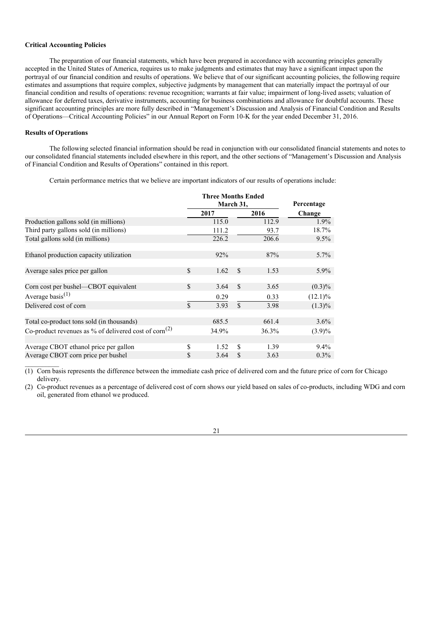#### **Critical Accounting Policies**

The preparation of our financial statements, which have been prepared in accordance with accounting principles generally accepted in the United States of America, requires us to make judgments and estimates that may have a significant impact upon the portrayal of our financial condition and results of operations. We believe that of our significant accounting policies, the following require estimates and assumptions that require complex, subjective judgments by management that can materially impact the portrayal of our financial condition and results of operations: revenue recognition; warrants at fair value; impairment of long-lived assets; valuation of allowance for deferred taxes, derivative instruments, accounting for business combinations and allowance for doubtful accounts. These significant accounting principles are more fully described in "Management's Discussion and Analysis of Financial Condition and Results of Operations—Critical Accounting Policies" in our Annual Report on Form 10-K for the year ended December 31, 2016.

#### **Results of Operations**

 $\mathcal{L}_\text{max}$ 

The following selected financial information should be read in conjunction with our consolidated financial statements and notes to our consolidated financial statements included elsewhere in this report, and the other sections of "Management's Discussion and Analysis of Financial Condition and Results of Operations" contained in this report.

Certain performance metrics that we believe are important indicators of our results of operations include:

|                                                                   |                    | <b>Three Months Ended</b><br>March 31, |               | Percentage |            |
|-------------------------------------------------------------------|--------------------|----------------------------------------|---------------|------------|------------|
|                                                                   |                    | 2017                                   |               | 2016       | Change     |
| Production gallons sold (in millions)                             |                    | 115.0                                  |               | 112.9      | $1.9\%$    |
| Third party gallons sold (in millions)                            |                    | 111.2                                  |               | 93.7       | 18.7%      |
| Total gallons sold (in millions)                                  |                    | 226.2                                  |               | 206.6      | $9.5\%$    |
| Ethanol production capacity utilization                           |                    | 92%                                    |               | 87%        | $5.7\%$    |
| Average sales price per gallon                                    | $\mathcal{S}$      | 1.62                                   | <sup>\$</sup> | 1.53       | $5.9\%$    |
| Corn cost per bushel—CBOT equivalent                              | $\mathcal{S}$      | 3.64                                   | <sup>\$</sup> | 3.65       | $(0.3)\%$  |
| Average basis <sup>(1)</sup>                                      |                    | 0.29                                   |               | 0.33       | $(12.1)\%$ |
| Delivered cost of corn                                            | $\mathbf{\hat{S}}$ | 3.93                                   | $\mathcal{S}$ | 3.98       | $(1.3)\%$  |
| Total co-product tons sold (in thousands)                         |                    | 685.5                                  |               | 661.4      | $3.6\%$    |
| Co-product revenues as % of delivered cost of corn <sup>(2)</sup> |                    | 34.9%                                  |               | 36.3%      | $(3.9)\%$  |
| Average CBOT ethanol price per gallon                             | \$                 | 1.52                                   | \$.           | 1.39       | $9.4\%$    |
| Average CBOT corn price per bushel                                | \$                 | 3.64                                   | S             | 3.63       | $0.3\%$    |

(1) Corn basis represents the difference between the immediate cash price of delivered corn and the future price of corn for Chicago delivery.

(2) Co-product revenues as a percentage of delivered cost of corn shows our yield based on sales of co-products, including WDG and corn oil, generated from ethanol we produced.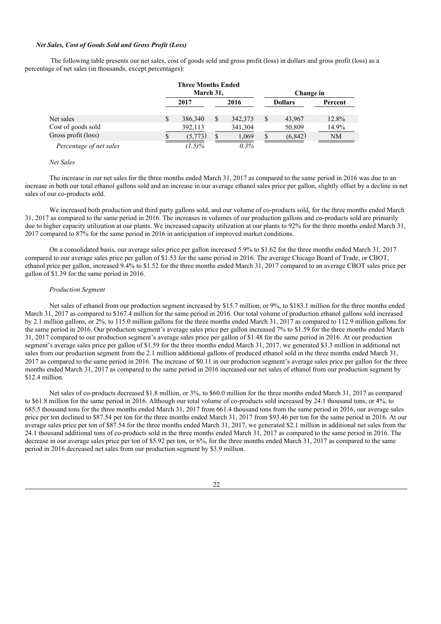#### *Net Sales, Cost of Goods Sold and Gross Profit (Loss)*

The following table presents our net sales, cost of goods sold and gross profit (loss) in dollars and gross profit (loss) as a percentage of net sales (in thousands, except percentages):

|                         |    | <b>Three Months Ended</b> |    |         |                |          |       |  |
|-------------------------|----|---------------------------|----|---------|----------------|----------|-------|--|
|                         |    | March 31,                 |    |         | Change in      |          |       |  |
|                         |    | 2017<br>2016              |    |         | <b>Dollars</b> | Percent  |       |  |
| Net sales               | \$ | 386,340                   | \$ | 342,373 | S              | 43,967   | 12.8% |  |
| Cost of goods sold      |    | 392,113                   |    | 341,304 |                | 50,809   | 14.9% |  |
| Gross profit (loss)     | S  | (5,773)                   | S  | 1,069   | S              | (6, 842) | NM    |  |
| Percentage of net sales |    | $(1.5)\%$                 |    | $0.3\%$ |                |          |       |  |

#### *Net Sales*

The increase in our net sales for the three months ended March 31, 2017 as compared to the same period in 2016 was due to an increase in both our total ethanol gallons sold and an increase in our average ethanol sales price per gallon, slightly offset by a decline in net sales of our co-products sold.

We increased both production and third party gallons sold, and our volume of co-products sold, for the three months ended March 31, 2017 as compared to the same period in 2016. The increases in volumes of our production gallons and co-products sold are primarily due to higher capacity utilization at our plants. We increased capacity utilization at our plants to 92% for the three months ended March 31, 2017 compared to 87% for the same period in 2016 in anticipation of improved market conditions.

On a consolidated basis, our average sales price per gallon increased 5.9% to \$1.62 for the three months ended March 31, 2017 compared to our average sales price per gallon of \$1.53 for the same period in 2016. The average Chicago Board of Trade, or CBOT, ethanol price per gallon, increased 9.4% to \$1.52 for the three months ended March 31, 2017 compared to an average CBOT sales price per gallon of \$1.39 for the same period in 2016.

#### *Production Segment*

Net sales of ethanol from our production segment increased by \$15.7 million, or 9%, to \$183.1 million for the three months ended March 31, 2017 as compared to \$167.4 million for the same period in 2016. Our total volume of production ethanol gallons sold increased by 2.1 million gallons, or 2%, to 115.0 million gallons for the three months ended March 31, 2017 as compared to 112.9 million gallons for the same period in 2016. Our production segment's average sales price per gallon increased 7% to \$1.59 for the three months ended March 31, 2017 compared to our production segment's average sales price per gallon of \$1.48 for the same period in 2016. At our production segment's average sales price per gallon of \$1.59 for the three months ended March 31, 2017, we generated \$3.3 million in additional net sales from our production segment from the 2.1 million additional gallons of produced ethanol sold in the three months ended March 31, 2017 as compared to the same period in 2016. The increase of \$0.11 in our production segment's average sales price per gallon for the three months ended March 31, 2017 as compared to the same period in 2016 increased our net sales of ethanol from our production segment by \$12.4 million.

Net sales of co-products decreased \$1.8 million, or 3%, to \$60.0 million for the three months ended March 31, 2017 as compared to \$61.8 million for the same period in 2016. Although our total volume of co-products sold increased by 24.1 thousand tons, or 4%, to 685.5 thousand tons for the three months ended March 31, 2017 from 661.4 thousand tons from the same period in 2016, our average sales price per ton declined to \$87.54 per ton for the three months ended March 31, 2017 from \$93.46 per ton for the same period in 2016. At our average sales price per ton of \$87.54 for the three months ended March 31, 2017, we generated \$2.1 million in additional net sales from the 24.1 thousand additional tons of co-products sold in the three months ended March 31, 2017 as compared to the same period in 2016. The decrease in our average sales price per ton of \$5.92 per ton, or 6%, for the three months ended March 31, 2017 as compared to the same period in 2016 decreased net sales from our production segment by \$3.9 million.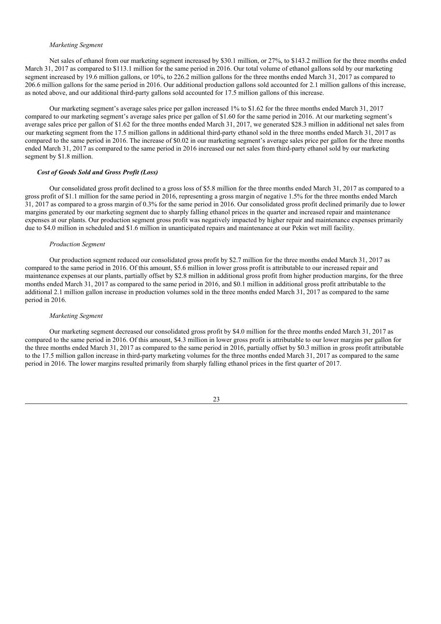#### *Marketing Segment*

Net sales of ethanol from our marketing segment increased by \$30.1 million, or 27%, to \$143.2 million for the three months ended March 31, 2017 as compared to \$113.1 million for the same period in 2016. Our total volume of ethanol gallons sold by our marketing segment increased by 19.6 million gallons, or 10%, to 226.2 million gallons for the three months ended March 31, 2017 as compared to 206.6 million gallons for the same period in 2016. Our additional production gallons sold accounted for 2.1 million gallons of this increase, as noted above, and our additional third-party gallons sold accounted for 17.5 million gallons of this increase.

Our marketing segment's average sales price per gallon increased 1% to \$1.62 for the three months ended March 31, 2017 compared to our marketing segment's average sales price per gallon of \$1.60 for the same period in 2016. At our marketing segment's average sales price per gallon of \$1.62 for the three months ended March 31, 2017, we generated \$28.3 million in additional net sales from our marketing segment from the 17.5 million gallons in additional third-party ethanol sold in the three months ended March 31, 2017 as compared to the same period in 2016. The increase of \$0.02 in our marketing segment's average sales price per gallon for the three months ended March 31, 2017 as compared to the same period in 2016 increased our net sales from third-party ethanol sold by our marketing segment by \$1.8 million.

#### *Cost of Goods Sold and Gross Profit (Loss)*

Our consolidated gross profit declined to a gross loss of \$5.8 million for the three months ended March 31, 2017 as compared to a gross profit of \$1.1 million for the same period in 2016, representing a gross margin of negative 1.5% for the three months ended March 31, 2017 as compared to a gross margin of 0.3% for the same period in 2016. Our consolidated gross profit declined primarily due to lower margins generated by our marketing segment due to sharply falling ethanol prices in the quarter and increased repair and maintenance expenses at our plants. Our production segment gross profit was negatively impacted by higher repair and maintenance expenses primarily due to \$4.0 million in scheduled and \$1.6 million in unanticipated repairs and maintenance at our Pekin wet mill facility.

#### *Production Segment*

Our production segment reduced our consolidated gross profit by \$2.7 million for the three months ended March 31, 2017 as compared to the same period in 2016. Of this amount, \$5.6 million in lower gross profit is attributable to our increased repair and maintenance expenses at our plants, partially offset by \$2.8 million in additional gross profit from higher production margins, for the three months ended March 31, 2017 as compared to the same period in 2016, and \$0.1 million in additional gross profit attributable to the additional 2.1 million gallon increase in production volumes sold in the three months ended March 31, 2017 as compared to the same period in 2016.

#### *Marketing Segment*

Our marketing segment decreased our consolidated gross profit by \$4.0 million for the three months ended March 31, 2017 as compared to the same period in 2016. Of this amount, \$4.3 million in lower gross profit is attributable to our lower margins per gallon for the three months ended March 31, 2017 as compared to the same period in 2016, partially offset by \$0.3 million in gross profit attributable to the 17.5 million gallon increase in third-party marketing volumes for the three months ended March 31, 2017 as compared to the same period in 2016. The lower margins resulted primarily from sharply falling ethanol prices in the first quarter of 2017.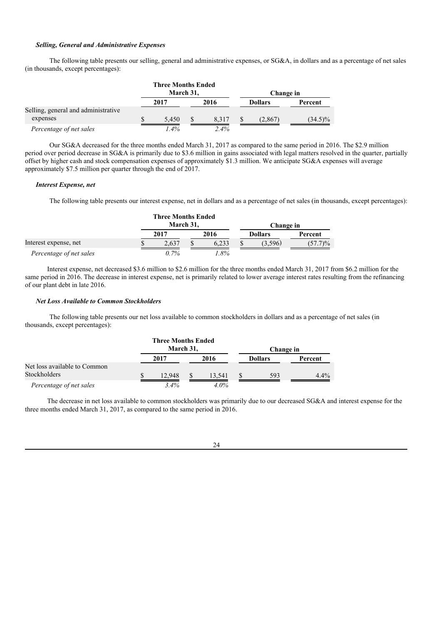### *Selling, General and Administrative Expenses*

The following table presents our selling, general and administrative expenses, or SG&A, in dollars and as a percentage of net sales (in thousands, except percentages):

|                                     | <b>Three Months Ended</b><br>March 31, |              |  |                |  | Change in |            |  |
|-------------------------------------|----------------------------------------|--------------|--|----------------|--|-----------|------------|--|
|                                     |                                        | 2017<br>2016 |  | <b>Dollars</b> |  | Percent   |            |  |
| Selling, general and administrative |                                        |              |  |                |  |           |            |  |
| expenses                            |                                        | 5.450        |  | 8.317          |  | (2,867)   | $(34.5)\%$ |  |
| Percentage of net sales             |                                        | $1.4\%$      |  | $2.4\%$        |  |           |            |  |

Our SG&A decreased for the three months ended March 31, 2017 as compared to the same period in 2016. The \$2.9 million period over period decrease in SG&A is primarily due to \$3.6 million in gains associated with legal matters resolved in the quarter, partially offset by higher cash and stock compensation expenses of approximately \$1.3 million. We anticipate SG&A expenses will average approximately \$7.5 million per quarter through the end of 2017.

#### *Interest Expense, net*

The following table presents our interest expense, net in dollars and as a percentage of net sales (in thousands, except percentages):

|                         |      | <b>Three Months Ended</b><br>March 31, |      |        | Change in      |         |            |  |
|-------------------------|------|----------------------------------------|------|--------|----------------|---------|------------|--|
|                         | 2017 |                                        | 2016 |        | <b>Dollars</b> |         | Percent    |  |
| Interest expense, net   | S    | 2.637                                  | \$   | 6.233  | \$             | (3,596) | $(57.7)\%$ |  |
| Percentage of net sales |      | $0.7\%$                                |      | $.8\%$ |                |         |            |  |

Interest expense, net decreased \$3.6 million to \$2.6 million for the three months ended March 31, 2017 from \$6.2 million for the same period in 2016. The decrease in interest expense, net is primarily related to lower average interest rates resulting from the refinancing of our plant debt in late 2016.

#### *Net Loss Available to Common Stockholders*

The following table presents our net loss available to common stockholders in dollars and as a percentage of net sales (in thousands, except percentages):

|                                                     | <b>Three Months Ended</b><br>March 31, |        |   |         | Change in |                |         |
|-----------------------------------------------------|----------------------------------------|--------|---|---------|-----------|----------------|---------|
|                                                     |                                        | 2017   |   | 2016    |           | <b>Dollars</b> | Percent |
| Net loss available to Common<br><b>Stockholders</b> | S                                      | 12.948 | S | 13.541  |           | 593            | $4.4\%$ |
| Percentage of net sales                             |                                        | 3.4%   |   | $4.0\%$ |           |                |         |

The decrease in net loss available to common stockholders was primarily due to our decreased SG&A and interest expense for the three months ended March 31, 2017, as compared to the same period in 2016.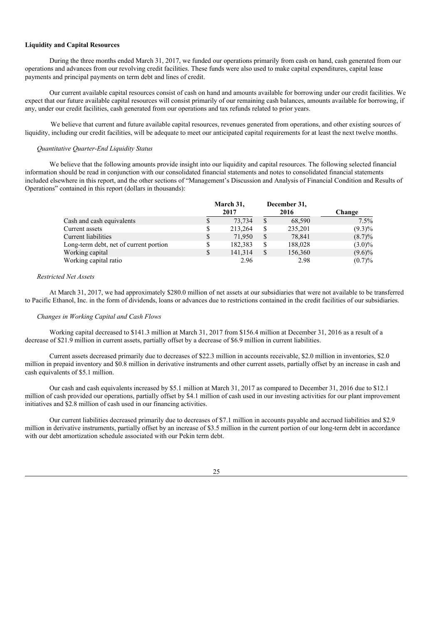## **Liquidity and Capital Resources**

During the three months ended March 31, 2017, we funded our operations primarily from cash on hand, cash generated from our operations and advances from our revolving credit facilities. These funds were also used to make capital expenditures, capital lease payments and principal payments on term debt and lines of credit.

Our current available capital resources consist of cash on hand and amounts available for borrowing under our credit facilities. We expect that our future available capital resources will consist primarily of our remaining cash balances, amounts available for borrowing, if any, under our credit facilities, cash generated from our operations and tax refunds related to prior years.

We believe that current and future available capital resources, revenues generated from operations, and other existing sources of liquidity, including our credit facilities, will be adequate to meet our anticipated capital requirements for at least the next twelve months.

#### *Quantitative Quarter-End Liquidity Status*

We believe that the following amounts provide insight into our liquidity and capital resources. The following selected financial information should be read in conjunction with our consolidated financial statements and notes to consolidated financial statements included elsewhere in this report, and the other sections of "Management's Discussion and Analysis of Financial Condition and Results of Operations" contained in this report (dollars in thousands):

|                                              | March 31,<br>2017 |   | December 31.<br>2016 | Change    |
|----------------------------------------------|-------------------|---|----------------------|-----------|
| Cash and cash equivalents<br>S               | 73.734            | S | 68.590               | $7.5\%$   |
| S<br>Current assets                          | 213,264           | S | 235,201              | $(9.3)\%$ |
| Current liabilities<br>S                     | 71,950            | S | 78,841               | $(8.7)\%$ |
| Long-term debt, net of current portion<br>\$ | 182,383           | S | 188,028              | $(3.0)\%$ |
| \$<br>Working capital                        | 141,314           | S | 156,360              | $(9.6)\%$ |
| Working capital ratio                        | 2.96              |   | 2.98                 | (0.7)%    |

#### *Restricted Net Assets*

At March 31, 2017, we had approximately \$280.0 million of net assets at our subsidiaries that were not available to be transferred to Pacific Ethanol, Inc. in the form of dividends, loans or advances due to restrictions contained in the credit facilities of our subsidiaries.

#### *Changes in Working Capital and Cash Flows*

Working capital decreased to \$141.3 million at March 31, 2017 from \$156.4 million at December 31, 2016 as a result of a decrease of \$21.9 million in current assets, partially offset by a decrease of \$6.9 million in current liabilities.

Current assets decreased primarily due to decreases of \$22.3 million in accounts receivable, \$2.0 million in inventories, \$2.0 million in prepaid inventory and \$0.8 million in derivative instruments and other current assets, partially offset by an increase in cash and cash equivalents of \$5.1 million.

Our cash and cash equivalents increased by \$5.1 million at March 31, 2017 as compared to December 31, 2016 due to \$12.1 million of cash provided our operations, partially offset by \$4.1 million of cash used in our investing activities for our plant improvement initiatives and \$2.8 million of cash used in our financing activities.

Our current liabilities decreased primarily due to decreases of \$7.1 million in accounts payable and accrued liabilities and \$2.9 million in derivative instruments, partially offset by an increase of \$3.5 million in the current portion of our long-term debt in accordance with our debt amortization schedule associated with our Pekin term debt.

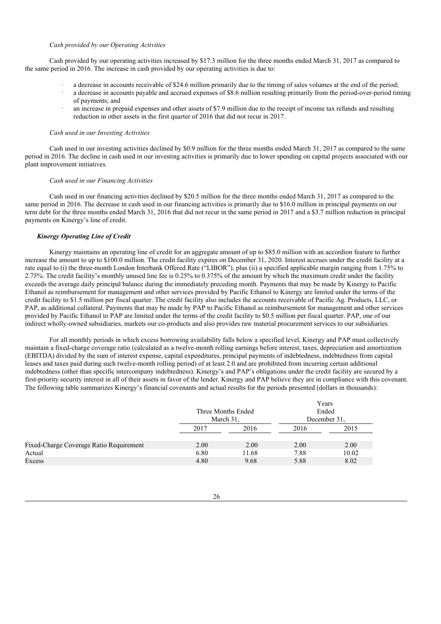#### *Cash provided by our Operating Activities*

Cash provided by our operating activities increased by \$17.3 million for the three months ended March 31, 2017 as compared to the same period in 2016. The increase in cash provided by our operating activities is due to:

- a decrease in accounts receivable of \$24.6 million primarily due to the timing of sales volumes at the end of the period;
- · a decrease in accounts payable and accrued expenses of \$8.6 million resulting primarily from the period-over-period timing of payments; and
- an increase in prepaid expenses and other assets of \$7.9 million due to the receipt of income tax refunds and resulting reduction in other assets in the first quarter of 2016 that did not recur in 2017.

#### *Cash used in our Investing Activities*

Cash used in our investing activities declined by \$0.9 million for the three months ended March 31, 2017 as compared to the same period in 2016. The decline in cash used in our investing activities is primarily due to lower spending on capital projects associated with our plant improvement initiatives.

#### *Cash used in our Financing Activities*

Cash used in our financing activities declined by \$20.5 million for the three months ended March 31, 2017 as compared to the same period in 2016. The decrease in cash used in our financing activities is primarily due to \$16.0 million in principal payments on our term debt for the three months ended March 31, 2016 that did not recur in the same period in 2017 and a \$3.7 million reduction in principal payments on Kinergy's line of credit.

#### *Kinergy Operating Line of Credit*

Kinergy maintains an operating line of credit for an aggregate amount of up to \$85.0 million with an accordion feature to further increase the amount to up to \$100.0 million. The credit facility expires on December 31, 2020. Interest accrues under the credit facility at a rate equal to (i) the three-month London Interbank Offered Rate ("LIBOR"), plus (ii) a specified applicable margin ranging from 1.75% to 2.75%. The credit facility's monthly unused line fee is 0.25% to 0.375% of the amount by which the maximum credit under the facility exceeds the average daily principal balance during the immediately preceding month. Payments that may be made by Kinergy to Pacific Ethanol as reimbursement for management and other services provided by Pacific Ethanol to Kinergy are limited under the terms of the credit facility to \$1.5 million per fiscal quarter. The credit facility also includes the accounts receivable of Pacific Ag. Products, LLC, or PAP, as additional collateral. Payments that may be made by PAP to Pacific Ethanol as reimbursement for management and other services provided by Pacific Ethanol to PAP are limited under the terms of the credit facility to \$0.5 million per fiscal quarter. PAP, one of our indirect wholly-owned subsidiaries, markets our co-products and also provides raw material procurement services to our subsidiaries.

For all monthly periods in which excess borrowing availability falls below a specified level, Kinergy and PAP must collectively maintain a fixed-charge coverage ratio (calculated as a twelve-month rolling earnings before interest, taxes, depreciation and amortization (EBITDA) divided by the sum of interest expense, capital expenditures, principal payments of indebtedness, indebtedness from capital leases and taxes paid during such twelve-month rolling period) of at least 2.0 and are prohibited from incurring certain additional indebtedness (other than specific intercompany indebtedness). Kinergy's and PAP's obligations under the credit facility are secured by a first-priority security interest in all of their assets in favor of the lender. Kinergy and PAP believe they are in compliance with this covenant. The following table summarizes Kinergy's financial covenants and actual results for the periods presented (dollars in thousands):

|                                         |                                 |       |                       | Years |
|-----------------------------------------|---------------------------------|-------|-----------------------|-------|
|                                         | Three Months Ended<br>March 31, |       | Ended<br>December 31, |       |
|                                         |                                 |       |                       |       |
|                                         | 2017                            | 2016  | 2016                  | 2015  |
|                                         |                                 |       |                       |       |
| Fixed-Charge Coverage Ratio Requirement | 2.00                            | 2.00  | 2.00                  | 2.00  |
| Actual                                  | 6.80                            | 11.68 | 7.88                  | 10.02 |
| Excess                                  | 4.80                            | 9.68  | 5.88                  | 8.02  |
|                                         |                                 |       |                       |       |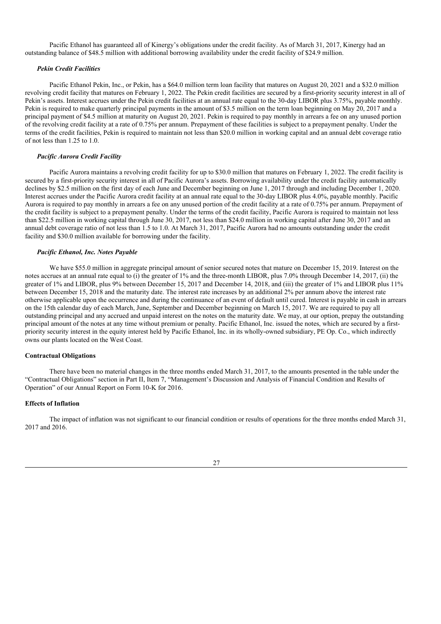Pacific Ethanol has guaranteed all of Kinergy's obligations under the credit facility. As of March 31, 2017, Kinergy had an outstanding balance of \$48.5 million with additional borrowing availability under the credit facility of \$24.9 million.

#### *Pekin Credit Facilities*

Pacific Ethanol Pekin, Inc., or Pekin, has a \$64.0 million term loan facility that matures on August 20, 2021 and a \$32.0 million revolving credit facility that matures on February 1, 2022. The Pekin credit facilities are secured by a first-priority security interest in all of Pekin's assets. Interest accrues under the Pekin credit facilities at an annual rate equal to the 30-day LIBOR plus 3.75%, payable monthly. Pekin is required to make quarterly principal payments in the amount of \$3.5 million on the term loan beginning on May 20, 2017 and a principal payment of \$4.5 million at maturity on August 20, 2021. Pekin is required to pay monthly in arrears a fee on any unused portion of the revolving credit facility at a rate of 0.75% per annum. Prepayment of these facilities is subject to a prepayment penalty. Under the terms of the credit facilities, Pekin is required to maintain not less than \$20.0 million in working capital and an annual debt coverage ratio of not less than 1.25 to 1.0.

#### *Pacific Aurora Credit Facility*

Pacific Aurora maintains a revolving credit facility for up to \$30.0 million that matures on February 1, 2022. The credit facility is secured by a first-priority security interest in all of Pacific Aurora's assets. Borrowing availability under the credit facility automatically declines by \$2.5 million on the first day of each June and December beginning on June 1, 2017 through and including December 1, 2020. Interest accrues under the Pacific Aurora credit facility at an annual rate equal to the 30-day LIBOR plus 4.0%, payable monthly. Pacific Aurora is required to pay monthly in arrears a fee on any unused portion of the credit facility at a rate of 0.75% per annum. Prepayment of the credit facility is subject to a prepayment penalty. Under the terms of the credit facility, Pacific Aurora is required to maintain not less than \$22.5 million in working capital through June 30, 2017, not less than \$24.0 million in working capital after June 30, 2017 and an annual debt coverage ratio of not less than 1.5 to 1.0. At March 31, 2017, Pacific Aurora had no amounts outstanding under the credit facility and \$30.0 million available for borrowing under the facility.

#### *Pacific Ethanol, Inc. Notes Payable*

We have \$55.0 million in aggregate principal amount of senior secured notes that mature on December 15, 2019. Interest on the notes accrues at an annual rate equal to (i) the greater of 1% and the three-month LIBOR, plus 7.0% through December 14, 2017, (ii) the greater of 1% and LIBOR, plus 9% between December 15, 2017 and December 14, 2018, and (iii) the greater of 1% and LIBOR plus 11% between December 15, 2018 and the maturity date. The interest rate increases by an additional 2% per annum above the interest rate otherwise applicable upon the occurrence and during the continuance of an event of default until cured. Interest is payable in cash in arrears on the 15th calendar day of each March, June, September and December beginning on March 15, 2017. We are required to pay all outstanding principal and any accrued and unpaid interest on the notes on the maturity date. We may, at our option, prepay the outstanding principal amount of the notes at any time without premium or penalty. Pacific Ethanol, Inc. issued the notes, which are secured by a firstpriority security interest in the equity interest held by Pacific Ethanol, Inc. in its wholly-owned subsidiary, PE Op. Co., which indirectly owns our plants located on the West Coast.

#### **Contractual Obligations**

There have been no material changes in the three months ended March 31, 2017, to the amounts presented in the table under the "Contractual Obligations" section in Part II, Item 7, "Management's Discussion and Analysis of Financial Condition and Results of Operation" of our Annual Report on Form 10-K for 2016.

#### **Effects of Inflation**

The impact of inflation was not significant to our financial condition or results of operations for the three months ended March 31, 2017 and 2016.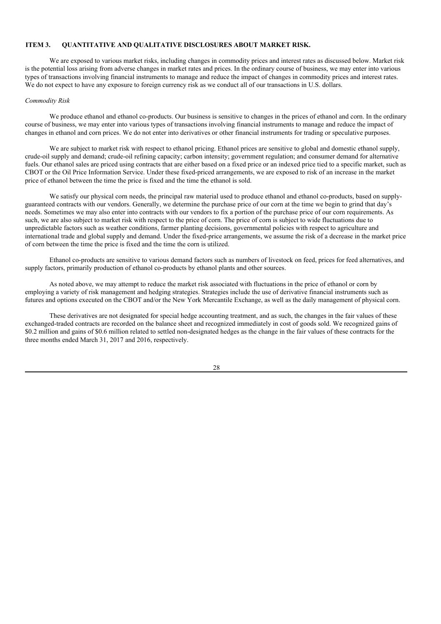# **ITEM 3. QUANTITATIVE AND QUALITATIVE DISCLOSURES ABOUT MARKET RISK.**

We are exposed to various market risks, including changes in commodity prices and interest rates as discussed below. Market risk is the potential loss arising from adverse changes in market rates and prices. In the ordinary course of business, we may enter into various types of transactions involving financial instruments to manage and reduce the impact of changes in commodity prices and interest rates. We do not expect to have any exposure to foreign currency risk as we conduct all of our transactions in U.S. dollars.

#### *Commodity Risk*

We produce ethanol and ethanol co-products. Our business is sensitive to changes in the prices of ethanol and corn. In the ordinary course of business, we may enter into various types of transactions involving financial instruments to manage and reduce the impact of changes in ethanol and corn prices. We do not enter into derivatives or other financial instruments for trading or speculative purposes.

We are subject to market risk with respect to ethanol pricing. Ethanol prices are sensitive to global and domestic ethanol supply, crude-oil supply and demand; crude-oil refining capacity; carbon intensity; government regulation; and consumer demand for alternative fuels. Our ethanol sales are priced using contracts that are either based on a fixed price or an indexed price tied to a specific market, such as CBOT or the Oil Price Information Service. Under these fixed-priced arrangements, we are exposed to risk of an increase in the market price of ethanol between the time the price is fixed and the time the ethanol is sold.

We satisfy our physical corn needs, the principal raw material used to produce ethanol and ethanol co-products, based on supplyguaranteed contracts with our vendors. Generally, we determine the purchase price of our corn at the time we begin to grind that day's needs. Sometimes we may also enter into contracts with our vendors to fix a portion of the purchase price of our corn requirements. As such, we are also subject to market risk with respect to the price of corn. The price of corn is subject to wide fluctuations due to unpredictable factors such as weather conditions, farmer planting decisions, governmental policies with respect to agriculture and international trade and global supply and demand. Under the fixed-price arrangements, we assume the risk of a decrease in the market price of corn between the time the price is fixed and the time the corn is utilized.

Ethanol co-products are sensitive to various demand factors such as numbers of livestock on feed, prices for feed alternatives, and supply factors, primarily production of ethanol co-products by ethanol plants and other sources.

As noted above, we may attempt to reduce the market risk associated with fluctuations in the price of ethanol or corn by employing a variety of risk management and hedging strategies. Strategies include the use of derivative financial instruments such as futures and options executed on the CBOT and/or the New York Mercantile Exchange, as well as the daily management of physical corn.

These derivatives are not designated for special hedge accounting treatment, and as such, the changes in the fair values of these exchanged-traded contracts are recorded on the balance sheet and recognized immediately in cost of goods sold. We recognized gains of \$0.2 million and gains of \$0.6 million related to settled non-designated hedges as the change in the fair values of these contracts for the three months ended March 31, 2017 and 2016, respectively.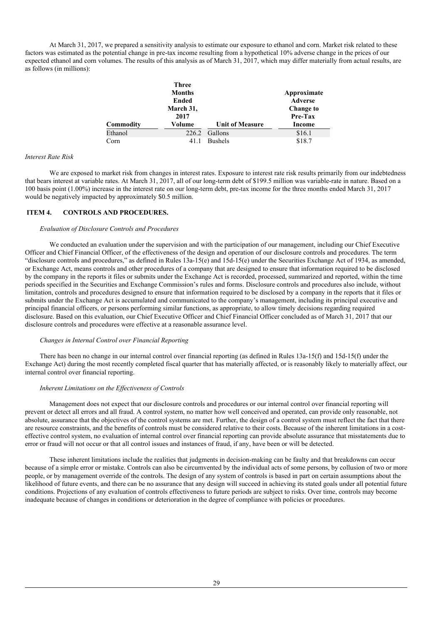At March 31, 2017, we prepared a sensitivity analysis to estimate our exposure to ethanol and corn. Market risk related to these factors was estimated as the potential change in pre-tax income resulting from a hypothetical 10% adverse change in the prices of our expected ethanol and corn volumes. The results of this analysis as of March 31, 2017, which may differ materially from actual results, are as follows (in millions):

|           | <b>Three</b>  |                        |             |
|-----------|---------------|------------------------|-------------|
|           | <b>Months</b> |                        | Approximate |
|           | Ended         |                        | Adverse     |
|           | March 31,     |                        | Change to   |
|           | 2017          |                        | Pre-Tax     |
| Commodity | Volume        | <b>Unit of Measure</b> | Income      |
| Ethanol   | 226.2         | Gallons                | \$16.1      |
| Corn      | 41.1          | <b>Bushels</b>         | \$18.7      |

#### *Interest Rate Risk*

We are exposed to market risk from changes in interest rates. Exposure to interest rate risk results primarily from our indebtedness that bears interest at variable rates. At March 31, 2017, all of our long-term debt of \$199.5 million was variable-rate in nature. Based on a 100 basis point (1.00%) increase in the interest rate on our long-term debt, pre-tax income for the three months ended March 31, 2017 would be negatively impacted by approximately \$0.5 million.

### **ITEM 4. CONTROLS AND PROCEDURES.**

#### *Evaluation of Disclosure Controls and Procedures*

We conducted an evaluation under the supervision and with the participation of our management, including our Chief Executive Officer and Chief Financial Officer, of the effectiveness of the design and operation of our disclosure controls and procedures. The term "disclosure controls and procedures," as defined in Rules  $13a-15(e)$  and  $15d-15(e)$  under the Securities Exchange Act of 1934, as amended, or Exchange Act, means controls and other procedures of a company that are designed to ensure that information required to be disclosed by the company in the reports it files or submits under the Exchange Act is recorded, processed, summarized and reported, within the time periods specified in the Securities and Exchange Commission's rules and forms. Disclosure controls and procedures also include, without limitation, controls and procedures designed to ensure that information required to be disclosed by a company in the reports that it files or submits under the Exchange Act is accumulated and communicated to the company's management, including its principal executive and principal financial officers, or persons performing similar functions, as appropriate, to allow timely decisions regarding required disclosure. Based on this evaluation, our Chief Executive Officer and Chief Financial Officer concluded as of March 31, 2017 that our disclosure controls and procedures were effective at a reasonable assurance level.

#### *Changes in Internal Control over Financial Reporting*

There has been no change in our internal control over financial reporting (as defined in Rules 13a-15(f) and 15d-15(f) under the Exchange Act) during the most recently completed fiscal quarter that has materially affected, or is reasonably likely to materially affect, our internal control over financial reporting.

#### *Inherent Limitations on the Ef ectiveness of Controls*

Management does not expect that our disclosure controls and procedures or our internal control over financial reporting will prevent or detect all errors and all fraud. A control system, no matter how well conceived and operated, can provide only reasonable, not absolute, assurance that the objectives of the control systems are met. Further, the design of a control system must reflect the fact that there are resource constraints, and the benefits of controls must be considered relative to their costs. Because of the inherent limitations in a costeffective control system, no evaluation of internal control over financial reporting can provide absolute assurance that misstatements due to error or fraud will not occur or that all control issues and instances of fraud, if any, have been or will be detected.

These inherent limitations include the realities that judgments in decision-making can be faulty and that breakdowns can occur because of a simple error or mistake. Controls can also be circumvented by the individual acts of some persons, by collusion of two or more people, or by management override of the controls. The design of any system of controls is based in part on certain assumptions about the likelihood of future events, and there can be no assurance that any design will succeed in achieving its stated goals under all potential future conditions. Projections of any evaluation of controls effectiveness to future periods are subject to risks. Over time, controls may become inadequate because of changes in conditions or deterioration in the degree of compliance with policies or procedures.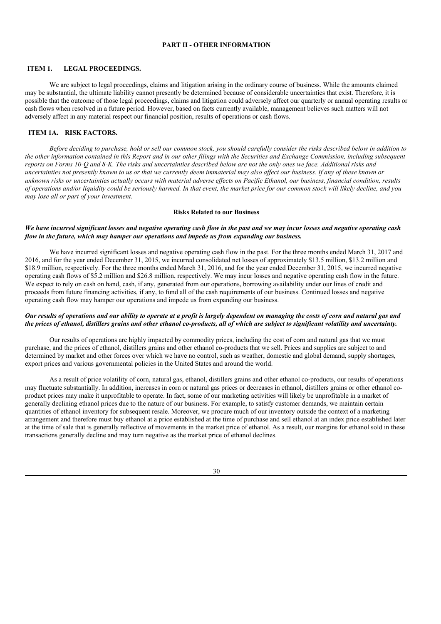# **PART II - OTHER INFORMATION**

### **ITEM 1. LEGAL PROCEEDINGS.**

We are subject to legal proceedings, claims and litigation arising in the ordinary course of business. While the amounts claimed may be substantial, the ultimate liability cannot presently be determined because of considerable uncertainties that exist. Therefore, it is possible that the outcome of those legal proceedings, claims and litigation could adversely affect our quarterly or annual operating results or cash flows when resolved in a future period. However, based on facts currently available, management believes such matters will not adversely affect in any material respect our financial position, results of operations or cash flows.

#### **ITEM 1A. RISK FACTORS.**

Before deciding to purchase, hold or sell our common stock, you should carefully consider the risks described below in addition to the other information contained in this Report and in our other filings with the Securities and Exchange Commission, including subsequent reports on Forms 10-O and 8-K. The risks and uncertainties described below are not the only ones we face. Additional risks and uncertainties not presently known to us or that we currently deem immaterial may also affect our business. If any of these known or unknown risks or uncertainties actually occurs with material adverse effects on Pacific Ethanol, our business, financial condition, results of operations and/or liquidity could be seriously harmed. In that event, the market price for our common stock will likely decline, and you *may lose all or part of your investment.*

#### **Risks Related to our Business**

#### We have incurred significant losses and negative operating cash flow in the past and we may incur losses and negative operating cash *flow in the future, which may hamper our operations and impede us from expanding our business.*

We have incurred significant losses and negative operating cash flow in the past. For the three months ended March 31, 2017 and 2016, and for the year ended December 31, 2015, we incurred consolidated net losses of approximately \$13.5 million, \$13.2 million and \$18.9 million, respectively. For the three months ended March 31, 2016, and for the year ended December 31, 2015, we incurred negative operating cash flows of \$5.2 million and \$26.8 million, respectively. We may incur losses and negative operating cash flow in the future. We expect to rely on cash on hand, cash, if any, generated from our operations, borrowing availability under our lines of credit and proceeds from future financing activities, if any, to fund all of the cash requirements of our business. Continued losses and negative operating cash flow may hamper our operations and impede us from expanding our business.

### Our results of operations and our ability to operate at a profit is largely dependent on managing the costs of corn and natural gas and the prices of ethanol, distillers grains and other ethanol co-products, all of which are subject to significant volatility and uncertainty.

Our results of operations are highly impacted by commodity prices, including the cost of corn and natural gas that we must purchase, and the prices of ethanol, distillers grains and other ethanol co-products that we sell. Prices and supplies are subject to and determined by market and other forces over which we have no control, such as weather, domestic and global demand, supply shortages, export prices and various governmental policies in the United States and around the world.

As a result of price volatility of corn, natural gas, ethanol, distillers grains and other ethanol co-products, our results of operations may fluctuate substantially. In addition, increases in corn or natural gas prices or decreases in ethanol, distillers grains or other ethanol coproduct prices may make it unprofitable to operate. In fact, some of our marketing activities will likely be unprofitable in a market of generally declining ethanol prices due to the nature of our business. For example, to satisfy customer demands, we maintain certain quantities of ethanol inventory for subsequent resale. Moreover, we procure much of our inventory outside the context of a marketing arrangement and therefore must buy ethanol at a price established at the time of purchase and sell ethanol at an index price established later at the time of sale that is generally reflective of movements in the market price of ethanol. As a result, our margins for ethanol sold in these transactions generally decline and may turn negative as the market price of ethanol declines.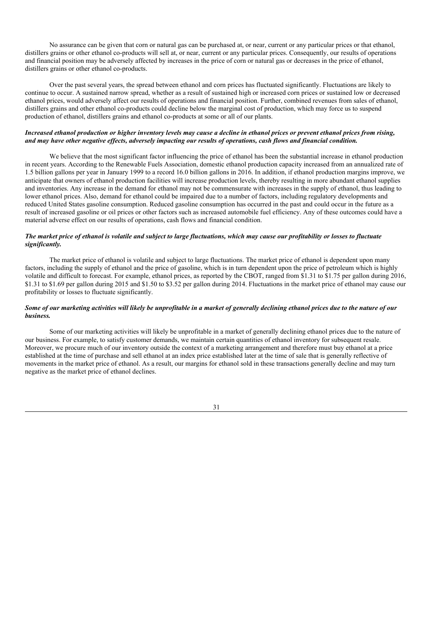No assurance can be given that corn or natural gas can be purchased at, or near, current or any particular prices or that ethanol, distillers grains or other ethanol co-products will sell at, or near, current or any particular prices. Consequently, our results of operations and financial position may be adversely affected by increases in the price of corn or natural gas or decreases in the price of ethanol, distillers grains or other ethanol co-products.

Over the past several years, the spread between ethanol and corn prices has fluctuated significantly. Fluctuations are likely to continue to occur. A sustained narrow spread, whether as a result of sustained high or increased corn prices or sustained low or decreased ethanol prices, would adversely affect our results of operations and financial position. Further, combined revenues from sales of ethanol, distillers grains and other ethanol co-products could decline below the marginal cost of production, which may force us to suspend production of ethanol, distillers grains and ethanol co-products at some or all of our plants.

#### Increased ethanol production or higher inventory levels may cause a decline in ethanol prices or prevent ethanol prices from rising, and may have other negative effects, adversely impacting our results of operations, cash flows and financial condition.

We believe that the most significant factor influencing the price of ethanol has been the substantial increase in ethanol production in recent years. According to the Renewable Fuels Association, domestic ethanol production capacity increased from an annualized rate of 1.5 billion gallons per year in January 1999 to a record 16.0 billion gallons in 2016. In addition, if ethanol production margins improve, we anticipate that owners of ethanol production facilities will increase production levels, thereby resulting in more abundant ethanol supplies and inventories. Any increase in the demand for ethanol may not be commensurate with increases in the supply of ethanol, thus leading to lower ethanol prices. Also, demand for ethanol could be impaired due to a number of factors, including regulatory developments and reduced United States gasoline consumption. Reduced gasoline consumption has occurred in the past and could occur in the future as a result of increased gasoline or oil prices or other factors such as increased automobile fuel efficiency. Any of these outcomes could have a material adverse effect on our results of operations, cash flows and financial condition.

### The market price of ethanol is volatile and subject to large fluctuations, which may cause our profitability or losses to fluctuate *significantly.*

The market price of ethanol is volatile and subject to large fluctuations. The market price of ethanol is dependent upon many factors, including the supply of ethanol and the price of gasoline, which is in turn dependent upon the price of petroleum which is highly volatile and difficult to forecast. For example, ethanol prices, as reported by the CBOT, ranged from \$1.31 to \$1.75 per gallon during 2016, \$1.31 to \$1.69 per gallon during 2015 and \$1.50 to \$3.52 per gallon during 2014. Fluctuations in the market price of ethanol may cause our profitability or losses to fluctuate significantly.

#### Some of our marketing activities will likely be unprofitable in a market of generally declining ethanol prices due to the nature of our *business.*

Some of our marketing activities will likely be unprofitable in a market of generally declining ethanol prices due to the nature of our business. For example, to satisfy customer demands, we maintain certain quantities of ethanol inventory for subsequent resale. Moreover, we procure much of our inventory outside the context of a marketing arrangement and therefore must buy ethanol at a price established at the time of purchase and sell ethanol at an index price established later at the time of sale that is generally reflective of movements in the market price of ethanol. As a result, our margins for ethanol sold in these transactions generally decline and may turn negative as the market price of ethanol declines.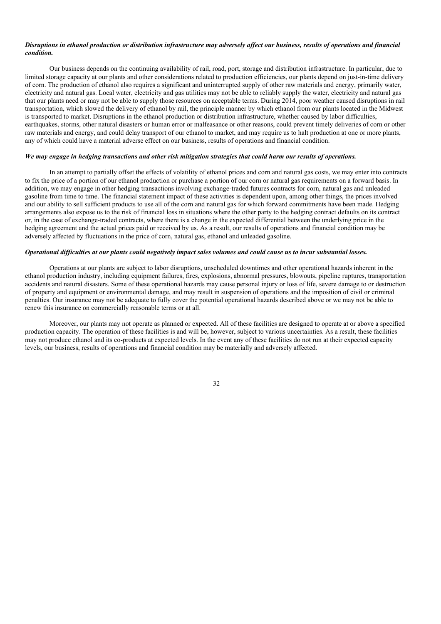#### Disruptions in ethanol production or distribution infrastructure may adversely affect our business, results of operations and financial *condition.*

Our business depends on the continuing availability of rail, road, port, storage and distribution infrastructure. In particular, due to limited storage capacity at our plants and other considerations related to production efficiencies, our plants depend on just-in-time delivery of corn. The production of ethanol also requires a significant and uninterrupted supply of other raw materials and energy, primarily water, electricity and natural gas. Local water, electricity and gas utilities may not be able to reliably supply the water, electricity and natural gas that our plants need or may not be able to supply those resources on acceptable terms. During 2014, poor weather caused disruptions in rail transportation, which slowed the delivery of ethanol by rail, the principle manner by which ethanol from our plants located in the Midwest is transported to market. Disruptions in the ethanol production or distribution infrastructure, whether caused by labor difficulties, earthquakes, storms, other natural disasters or human error or malfeasance or other reasons, could prevent timely deliveries of corn or other raw materials and energy, and could delay transport of our ethanol to market, and may require us to halt production at one or more plants, any of which could have a material adverse effect on our business, results of operations and financial condition.

#### We may engage in hedging transactions and other risk mitigation strategies that could harm our results of operations.

In an attempt to partially offset the effects of volatility of ethanol prices and corn and natural gas costs, we may enter into contracts to fix the price of a portion of our ethanol production or purchase a portion of our corn or natural gas requirements on a forward basis. In addition, we may engage in other hedging transactions involving exchange-traded futures contracts for corn, natural gas and unleaded gasoline from time to time. The financial statement impact of these activities is dependent upon, among other things, the prices involved and our ability to sell sufficient products to use all of the corn and natural gas for which forward commitments have been made. Hedging arrangements also expose us to the risk of financial loss in situations where the other party to the hedging contract defaults on its contract or, in the case of exchange-traded contracts, where there is a change in the expected differential between the underlying price in the hedging agreement and the actual prices paid or received by us. As a result, our results of operations and financial condition may be adversely affected by fluctuations in the price of corn, natural gas, ethanol and unleaded gasoline.

#### Operational difficulties at our plants could negatively impact sales volumes and could cause us to incur substantial losses.

Operations at our plants are subject to labor disruptions, unscheduled downtimes and other operational hazards inherent in the ethanol production industry, including equipment failures, fires, explosions, abnormal pressures, blowouts, pipeline ruptures, transportation accidents and natural disasters. Some of these operational hazards may cause personal injury or loss of life, severe damage to or destruction of property and equipment or environmental damage, and may result in suspension of operations and the imposition of civil or criminal penalties. Our insurance may not be adequate to fully cover the potential operational hazards described above or we may not be able to renew this insurance on commercially reasonable terms or at all.

Moreover, our plants may not operate as planned or expected. All of these facilities are designed to operate at or above a specified production capacity. The operation of these facilities is and will be, however, subject to various uncertainties. As a result, these facilities may not produce ethanol and its co-products at expected levels. In the event any of these facilities do not run at their expected capacity levels, our business, results of operations and financial condition may be materially and adversely affected.

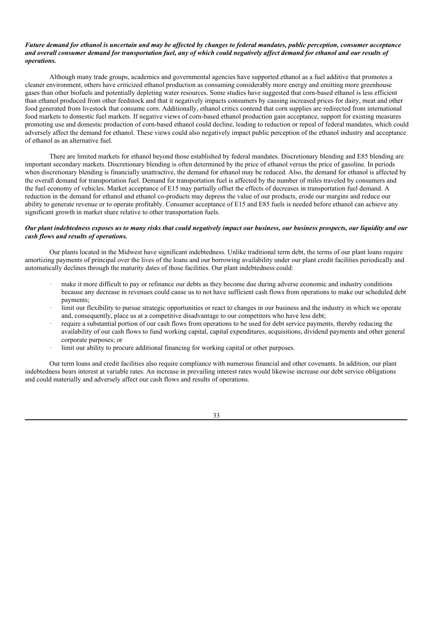### Future demand for ethanol is uncertain and may be affected by changes to federal mandates, public perception, consumer acceptance and overall consumer demand for transportation fuel, any of which could negatively affect demand for ethanol and our results of *operations.*

Although many trade groups, academics and governmental agencies have supported ethanol as a fuel additive that promotes a cleaner environment, others have criticized ethanol production as consuming considerably more energy and emitting more greenhouse gases than other biofuels and potentially depleting water resources. Some studies have suggested that corn-based ethanol is less efficient than ethanol produced from other feedstock and that it negatively impacts consumers by causing increased prices for dairy, meat and other food generated from livestock that consume corn. Additionally, ethanol critics contend that corn supplies are redirected from international food markets to domestic fuel markets. If negative views of corn-based ethanol production gain acceptance, support for existing measures promoting use and domestic production of corn-based ethanol could decline, leading to reduction or repeal of federal mandates, which could adversely affect the demand for ethanol. These views could also negatively impact public perception of the ethanol industry and acceptance of ethanol as an alternative fuel.

There are limited markets for ethanol beyond those established by federal mandates. Discretionary blending and E85 blending are important secondary markets. Discretionary blending is often determined by the price of ethanol versus the price of gasoline. In periods when discretionary blending is financially unattractive, the demand for ethanol may be reduced. Also, the demand for ethanol is affected by the overall demand for transportation fuel. Demand for transportation fuel is affected by the number of miles traveled by consumers and the fuel economy of vehicles. Market acceptance of E15 may partially offset the effects of decreases in transportation fuel demand. A reduction in the demand for ethanol and ethanol co-products may depress the value of our products, erode our margins and reduce our ability to generate revenue or to operate profitably. Consumer acceptance of E15 and E85 fuels is needed before ethanol can achieve any significant growth in market share relative to other transportation fuels.

### Our plant indebtedness exposes us to many risks that could negatively impact our business, our business prospects, our liquidity and our *cash flows and results of operations.*

Our plants located in the Midwest have significant indebtedness. Unlike traditional term debt, the terms of our plant loans require amortizing payments of principal over the lives of the loans and our borrowing availability under our plant credit facilities periodically and automatically declines through the maturity dates of those facilities. Our plant indebtedness could:

- make it more difficult to pay or refinance our debts as they become due during adverse economic and industry conditions because any decrease in revenues could cause us to not have sufficient cash flows from operations to make our scheduled debt payments;
- limit our flexibility to pursue strategic opportunities or react to changes in our business and the industry in which we operate and, consequently, place us at a competitive disadvantage to our competitors who have less debt;
- require a substantial portion of our cash flows from operations to be used for debt service payments, thereby reducing the availability of our cash flows to fund working capital, capital expenditures, acquisitions, dividend payments and other general corporate purposes; or
- · limit our ability to procure additional financing for working capital or other purposes.

Our term loans and credit facilities also require compliance with numerous financial and other covenants. In addition, our plant indebtedness bears interest at variable rates. An increase in prevailing interest rates would likewise increase our debt service obligations and could materially and adversely affect our cash flows and results of operations.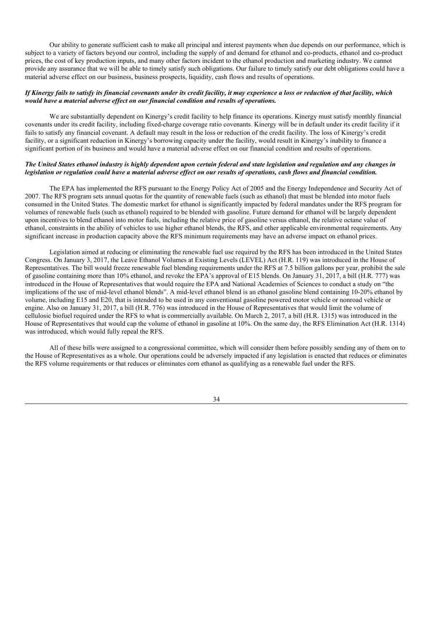Our ability to generate sufficient cash to make all principal and interest payments when due depends on our performance, which is subject to a variety of factors beyond our control, including the supply of and demand for ethanol and co-products, ethanol and co-product prices, the cost of key production inputs, and many other factors incident to the ethanol production and marketing industry. We cannot provide any assurance that we will be able to timely satisfy such obligations. Our failure to timely satisfy our debt obligations could have a material adverse effect on our business, business prospects, liquidity, cash flows and results of operations.

#### If Kinergy fails to satisfy its financial covenants under its credit facility, it may experience a loss or reduction of that facility, which *would have a material adverse ef ect on our financial condition and results of operations.*

We are substantially dependent on Kinergy's credit facility to help finance its operations. Kinergy must satisfy monthly financial covenants under its credit facility, including fixed-charge coverage ratio covenants. Kinergy will be in default under its credit facility if it fails to satisfy any financial covenant. A default may result in the loss or reduction of the credit facility. The loss of Kinergy's credit facility, or a significant reduction in Kinergy's borrowing capacity under the facility, would result in Kinergy's inability to finance a significant portion of its business and would have a material adverse effect on our financial condition and results of operations.

#### The United States ethanol industry is highly dependent upon certain federal and state legislation and regulation and any changes in legislation or regulation could have a material adverse effect on our results of operations, cash flows and financial condition.

The EPA has implemented the RFS pursuant to the Energy Policy Act of 2005 and the Energy Independence and Security Act of 2007. The RFS program sets annual quotas for the quantity of renewable fuels (such as ethanol) that must be blended into motor fuels consumed in the United States. The domestic market for ethanol is significantly impacted by federal mandates under the RFS program for volumes of renewable fuels (such as ethanol) required to be blended with gasoline. Future demand for ethanol will be largely dependent upon incentives to blend ethanol into motor fuels, including the relative price of gasoline versus ethanol, the relative octane value of ethanol, constraints in the ability of vehicles to use higher ethanol blends, the RFS, and other applicable environmental requirements. Any significant increase in production capacity above the RFS minimum requirements may have an adverse impact on ethanol prices.

Legislation aimed at reducing or eliminating the renewable fuel use required by the RFS has been introduced in the United States Congress. On January 3, 2017, the Leave Ethanol Volumes at Existing Levels (LEVEL) Act (H.R. 119) was introduced in the House of Representatives. The bill would freeze renewable fuel blending requirements under the RFS at 7.5 billion gallons per year, prohibit the sale of gasoline containing more than 10% ethanol, and revoke the EPA's approval of E15 blends. On January 31, 2017, a bill (H.R. 777) was introduced in the House of Representatives that would require the EPA and National Academies of Sciences to conduct a study on "the implications of the use of mid-level ethanol blends". A mid-level ethanol blend is an ethanol gasoline blend containing 10-20% ethanol by volume, including E15 and E20, that is intended to be used in any conventional gasoline powered motor vehicle or nonroad vehicle or engine. Also on January 31, 2017, a bill (H.R. 776) was introduced in the House of Representatives that would limit the volume of cellulosic biofuel required under the RFS to what is commercially available. On March 2, 2017, a bill (H.R. 1315) was introduced in the House of Representatives that would cap the volume of ethanol in gasoline at 10%. On the same day, the RFS Elimination Act (H.R. 1314) was introduced, which would fully repeal the RFS.

All of these bills were assigned to a congressional committee, which will consider them before possibly sending any of them on to the House of Representatives as a whole. Our operations could be adversely impacted if any legislation is enacted that reduces or eliminates the RFS volume requirements or that reduces or eliminates corn ethanol as qualifying as a renewable fuel under the RFS.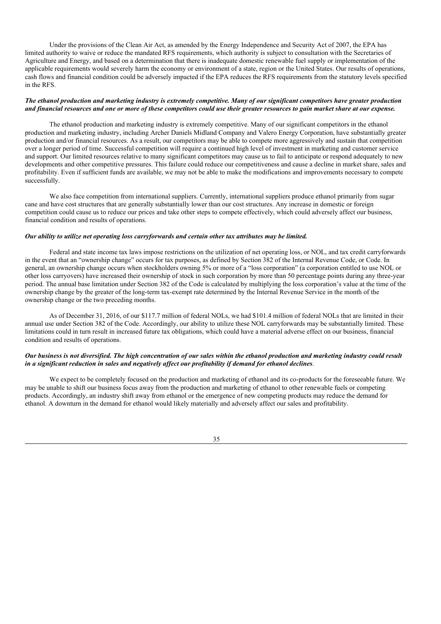Under the provisions of the Clean Air Act, as amended by the Energy Independence and Security Act of 2007, the EPA has limited authority to waive or reduce the mandated RFS requirements, which authority is subject to consultation with the Secretaries of Agriculture and Energy, and based on a determination that there is inadequate domestic renewable fuel supply or implementation of the applicable requirements would severely harm the economy or environment of a state, region or the United States. Our results of operations, cash flows and financial condition could be adversely impacted if the EPA reduces the RFS requirements from the statutory levels specified in the RFS.

### The ethanol production and marketing industry is extremely competitive. Many of our significant competitors have greater production and financial resources and one or more of these competitors could use their greater resources to gain market share at our expense.

The ethanol production and marketing industry is extremely competitive. Many of our significant competitors in the ethanol production and marketing industry, including Archer Daniels Midland Company and Valero Energy Corporation, have substantially greater production and/or financial resources. As a result, our competitors may be able to compete more aggressively and sustain that competition over a longer period of time. Successful competition will require a continued high level of investment in marketing and customer service and support. Our limited resources relative to many significant competitors may cause us to fail to anticipate or respond adequately to new developments and other competitive pressures. This failure could reduce our competitiveness and cause a decline in market share, sales and profitability. Even if sufficient funds are available, we may not be able to make the modifications and improvements necessary to compete successfully.

We also face competition from international suppliers. Currently, international suppliers produce ethanol primarily from sugar cane and have cost structures that are generally substantially lower than our cost structures. Any increase in domestic or foreign competition could cause us to reduce our prices and take other steps to compete effectively, which could adversely affect our business, financial condition and results of operations.

#### *Our ability to utilize net operating loss carryforwards and certain other tax attributes may be limited.*

Federal and state income tax laws impose restrictions on the utilization of net operating loss, or NOL, and tax credit carryforwards in the event that an "ownership change" occurs for tax purposes, as defined by Section 382 of the Internal Revenue Code, or Code. In general, an ownership change occurs when stockholders owning 5% or more of a "loss corporation" (a corporation entitled to use NOL or other loss carryovers) have increased their ownership of stock in such corporation by more than 50 percentage points during any three-year period. The annual base limitation under Section 382 of the Code is calculated by multiplying the loss corporation's value at the time of the ownership change by the greater of the long-term tax-exempt rate determined by the Internal Revenue Service in the month of the ownership change or the two preceding months.

As of December 31, 2016, of our \$117.7 million of federal NOLs, we had \$101.4 million of federal NOLs that are limited in their annual use under Section 382 of the Code. Accordingly, our ability to utilize these NOL carryforwards may be substantially limited. These limitations could in turn result in increased future tax obligations, which could have a material adverse effect on our business, financial condition and results of operations.

## Our business is not diversified. The high concentration of our sales within the ethanol production and marketing industry could result in a significant reduction in sales and negatively affect our profitability if demand for ethanol declines.

We expect to be completely focused on the production and marketing of ethanol and its co-products for the foreseeable future. We may be unable to shift our business focus away from the production and marketing of ethanol to other renewable fuels or competing products. Accordingly, an industry shift away from ethanol or the emergence of new competing products may reduce the demand for ethanol. A downturn in the demand for ethanol would likely materially and adversely affect our sales and profitability.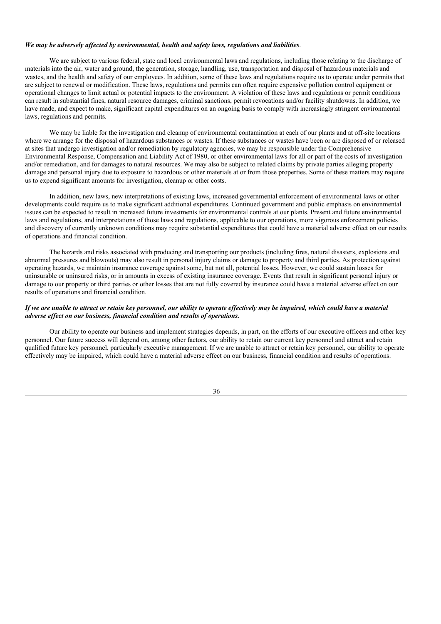#### *We may be adversely af ected by environmental, health and safety laws, regulations and liabilities*.

We are subject to various federal, state and local environmental laws and regulations, including those relating to the discharge of materials into the air, water and ground, the generation, storage, handling, use, transportation and disposal of hazardous materials and wastes, and the health and safety of our employees. In addition, some of these laws and regulations require us to operate under permits that are subject to renewal or modification. These laws, regulations and permits can often require expensive pollution control equipment or operational changes to limit actual or potential impacts to the environment. A violation of these laws and regulations or permit conditions can result in substantial fines, natural resource damages, criminal sanctions, permit revocations and/or facility shutdowns. In addition, we have made, and expect to make, significant capital expenditures on an ongoing basis to comply with increasingly stringent environmental laws, regulations and permits.

We may be liable for the investigation and cleanup of environmental contamination at each of our plants and at off-site locations where we arrange for the disposal of hazardous substances or wastes. If these substances or wastes have been or are disposed of or released at sites that undergo investigation and/or remediation by regulatory agencies, we may be responsible under the Comprehensive Environmental Response, Compensation and Liability Act of 1980, or other environmental laws for all or part of the costs of investigation and/or remediation, and for damages to natural resources. We may also be subject to related claims by private parties alleging property damage and personal injury due to exposure to hazardous or other materials at or from those properties. Some of these matters may require us to expend significant amounts for investigation, cleanup or other costs.

In addition, new laws, new interpretations of existing laws, increased governmental enforcement of environmental laws or other developments could require us to make significant additional expenditures. Continued government and public emphasis on environmental issues can be expected to result in increased future investments for environmental controls at our plants. Present and future environmental laws and regulations, and interpretations of those laws and regulations, applicable to our operations, more vigorous enforcement policies and discovery of currently unknown conditions may require substantial expenditures that could have a material adverse effect on our results of operations and financial condition.

The hazards and risks associated with producing and transporting our products (including fires, natural disasters, explosions and abnormal pressures and blowouts) may also result in personal injury claims or damage to property and third parties. As protection against operating hazards, we maintain insurance coverage against some, but not all, potential losses. However, we could sustain losses for uninsurable or uninsured risks, or in amounts in excess of existing insurance coverage. Events that result in significant personal injury or damage to our property or third parties or other losses that are not fully covered by insurance could have a material adverse effect on our results of operations and financial condition.

#### If we are unable to attract or retain key personnel, our ability to operate effectively may be impaired, which could have a material *adverse ef ect on our business, financial condition and results of operations.*

Our ability to operate our business and implement strategies depends, in part, on the efforts of our executive officers and other key personnel. Our future success will depend on, among other factors, our ability to retain our current key personnel and attract and retain qualified future key personnel, particularly executive management. If we are unable to attract or retain key personnel, our ability to operate effectively may be impaired, which could have a material adverse effect on our business, financial condition and results of operations.

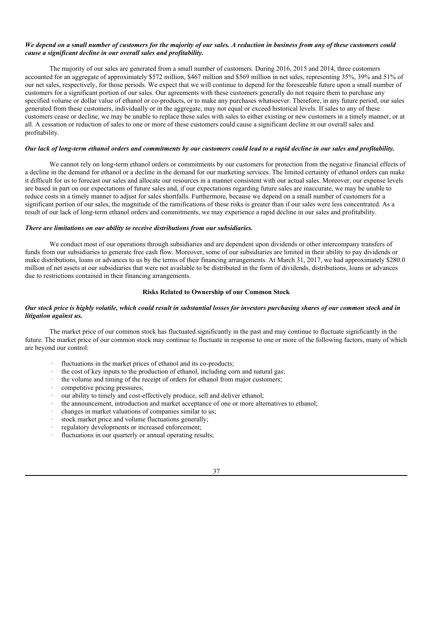#### We depend on a small number of customers for the majority of our sales. A reduction in business from any of these customers could *cause a significant decline in our overall sales and profitability.*

The majority of our sales are generated from a small number of customers. During 2016, 2015 and 2014, three customers accounted for an aggregate of approximately \$572 million, \$467 million and \$569 million in net sales, representing 35%, 39% and 51% of our net sales, respectively, for those periods. We expect that we will continue to depend for the foreseeable future upon a small number of customers for a significant portion of our sales. Our agreements with these customers generally do not require them to purchase any specified volume or dollar value of ethanol or co-products, or to make any purchases whatsoever. Therefore, in any future period, our sales generated from these customers, individually or in the aggregate, may not equal or exceed historical levels. If sales to any of these customers cease or decline, we may be unable to replace these sales with sales to either existing or new customers in a timely manner, or at all. A cessation or reduction of sales to one or more of these customers could cause a significant decline in our overall sales and profitability.

#### Our lack of long-term ethanol orders and commitments by our customers could lead to a rapid decline in our sales and profitability.

We cannot rely on long-term ethanol orders or commitments by our customers for protection from the negative financial effects of a decline in the demand for ethanol or a decline in the demand for our marketing services. The limited certainty of ethanol orders can make it difficult for us to forecast our sales and allocate our resources in a manner consistent with our actual sales. Moreover, our expense levels are based in part on our expectations of future sales and, if our expectations regarding future sales are inaccurate, we may be unable to reduce costs in a timely manner to adjust for sales shortfalls. Furthermore, because we depend on a small number of customers for a significant portion of our sales, the magnitude of the ramifications of these risks is greater than if our sales were less concentrated. As a result of our lack of long-term ethanol orders and commitments, we may experience a rapid decline in our sales and profitability.

#### *There are limitations on our ability to receive distributions from our subsidiaries.*

We conduct most of our operations through subsidiaries and are dependent upon dividends or other intercompany transfers of funds from our subsidiaries to generate free cash flow. Moreover, some of our subsidiaries are limited in their ability to pay dividends or make distributions, loans or advances to us by the terms of their financing arrangements. At March 31, 2017, we had approximately \$280.0 million of net assets at our subsidiaries that were not available to be distributed in the form of dividends, distributions, loans or advances due to restrictions contained in their financing arrangements.

#### **Risks Related to Ownership of our Common Stock**

#### Our stock price is highly volatile, which could result in substantial losses for investors purchasing shares of our common stock and in *litigation against us.*

The market price of our common stock has fluctuated significantly in the past and may continue to fluctuate significantly in the future. The market price of our common stock may continue to fluctuate in response to one or more of the following factors, many of which are beyond our control:

- fluctuations in the market prices of ethanol and its co-products;
- the cost of key inputs to the production of ethanol, including corn and natural gas;
- the volume and timing of the receipt of orders for ethanol from major customers;
- competitive pricing pressures;
- our ability to timely and cost-effectively produce, sell and deliver ethanol;
- the announcement, introduction and market acceptance of one or more alternatives to ethanol;
- changes in market valuations of companies similar to us;
- stock market price and volume fluctuations generally;
- regulatory developments or increased enforcement;
- fluctuations in our quarterly or annual operating results;

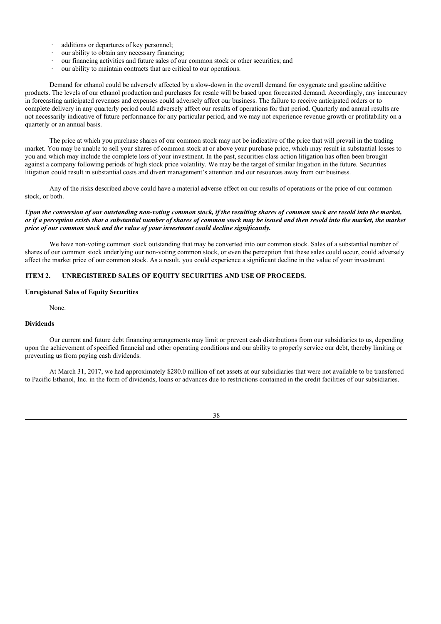- additions or departures of key personnel;
- our ability to obtain any necessary financing;
- our financing activities and future sales of our common stock or other securities; and
- · our ability to maintain contracts that are critical to our operations.

Demand for ethanol could be adversely affected by a slow-down in the overall demand for oxygenate and gasoline additive products. The levels of our ethanol production and purchases for resale will be based upon forecasted demand. Accordingly, any inaccuracy in forecasting anticipated revenues and expenses could adversely affect our business. The failure to receive anticipated orders or to complete delivery in any quarterly period could adversely affect our results of operations for that period. Quarterly and annual results are not necessarily indicative of future performance for any particular period, and we may not experience revenue growth or profitability on a quarterly or an annual basis.

The price at which you purchase shares of our common stock may not be indicative of the price that will prevail in the trading market. You may be unable to sell your shares of common stock at or above your purchase price, which may result in substantial losses to you and which may include the complete loss of your investment. In the past, securities class action litigation has often been brought against a company following periods of high stock price volatility. We may be the target of similar litigation in the future. Securities litigation could result in substantial costs and divert management's attention and our resources away from our business.

Any of the risks described above could have a material adverse effect on our results of operations or the price of our common stock, or both.

### Upon the conversion of our outstanding non-voting common stock, if the resulting shares of common stock are resold into the market, or if a perception exists that a substantial number of shares of common stock may be issued and then resold into the market, the market *price of our common stock and the value of your investment could decline significantly.*

We have non-voting common stock outstanding that may be converted into our common stock. Sales of a substantial number of shares of our common stock underlying our non-voting common stock, or even the perception that these sales could occur, could adversely affect the market price of our common stock. As a result, you could experience a significant decline in the value of your investment.

# **ITEM 2. UNREGISTERED SALES OF EQUITY SECURITIES AND USE OF PROCEEDS.**

#### **Unregistered Sales of Equity Securities**

None.

## **Dividends**

Our current and future debt financing arrangements may limit or prevent cash distributions from our subsidiaries to us, depending upon the achievement of specified financial and other operating conditions and our ability to properly service our debt, thereby limiting or preventing us from paying cash dividends.

At March 31, 2017, we had approximately \$280.0 million of net assets at our subsidiaries that were not available to be transferred to Pacific Ethanol, Inc. in the form of dividends, loans or advances due to restrictions contained in the credit facilities of our subsidiaries.

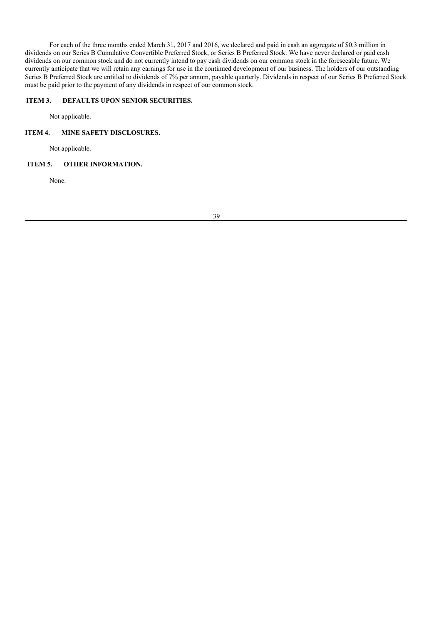For each of the three months ended March 31, 2017 and 2016, we declared and paid in cash an aggregate of \$0.3 million in dividends on our Series B Cumulative Convertible Preferred Stock, or Series B Preferred Stock. We have never declared or paid cash dividends on our common stock and do not currently intend to pay cash dividends on our common stock in the foreseeable future. We currently anticipate that we will retain any earnings for use in the continued development of our business. The holders of our outstanding Series B Preferred Stock are entitled to dividends of 7% per annum, payable quarterly. Dividends in respect of our Series B Preferred Stock must be paid prior to the payment of any dividends in respect of our common stock.

# **ITEM 3. DEFAULTS UPON SENIOR SECURITIES.**

Not applicable.

# **ITEM 4. MINE SAFETY DISCLOSURES.**

Not applicable.

### **ITEM 5. OTHER INFORMATION.**

None.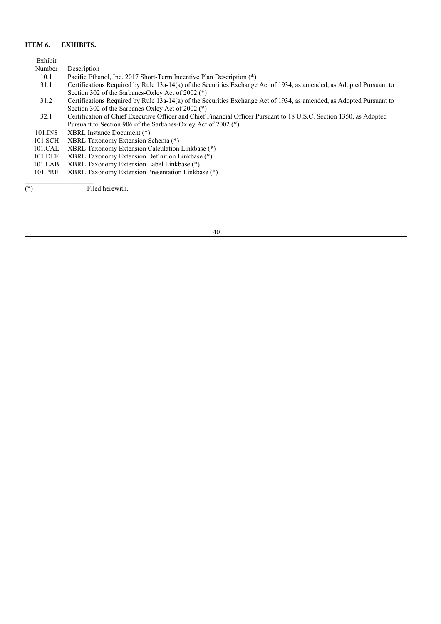# **ITEM 6. EXHIBITS.**

| Exhibit |                                                                                                                      |
|---------|----------------------------------------------------------------------------------------------------------------------|
| Number  | Description                                                                                                          |
| 10.1    | Pacific Ethanol, Inc. 2017 Short-Term Incentive Plan Description (*)                                                 |
| 31.1    | Certifications Required by Rule 13a-14(a) of the Securities Exchange Act of 1934, as amended, as Adopted Pursuant to |
|         | Section 302 of the Sarbanes-Oxley Act of 2002 (*)                                                                    |
| 31.2    | Certifications Required by Rule 13a-14(a) of the Securities Exchange Act of 1934, as amended, as Adopted Pursuant to |
|         | Section 302 of the Sarbanes-Oxley Act of 2002 (*)                                                                    |
| 32.1    | Certification of Chief Executive Officer and Chief Financial Officer Pursuant to 18 U.S.C. Section 1350, as Adopted  |
|         | Pursuant to Section 906 of the Sarbanes-Oxley Act of 2002 (*)                                                        |
| 101.INS | XBRL Instance Document (*)                                                                                           |
| 101.SCH | XBRL Taxonomy Extension Schema (*)                                                                                   |
| 101.CAL | XBRL Taxonomy Extension Calculation Linkbase (*)                                                                     |
| 101.DEF | XBRL Taxonomy Extension Definition Linkbase (*)                                                                      |
| 101.LAB | XBRL Taxonomy Extension Label Linkbase (*)                                                                           |
| 101.PRE | XBRL Taxonomy Extension Presentation Linkbase (*)                                                                    |
|         |                                                                                                                      |
| $(*)$   | Filed herewith.                                                                                                      |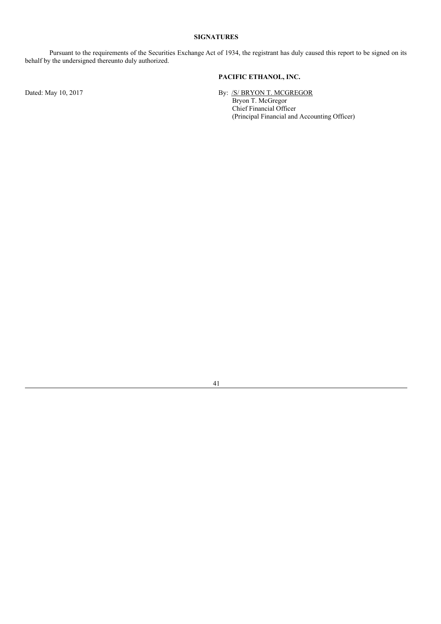# **SIGNATURES**

Pursuant to the requirements of the Securities Exchange Act of 1934, the registrant has duly caused this report to be signed on its behalf by the undersigned thereunto duly authorized.

# **PACIFIC ETHANOL, INC.**

Dated: May 10, 2017 **By:** /S/ BRYON T. MCGREGOR Bryon T. McGregor Chief Financial Officer (Principal Financial and Accounting Officer)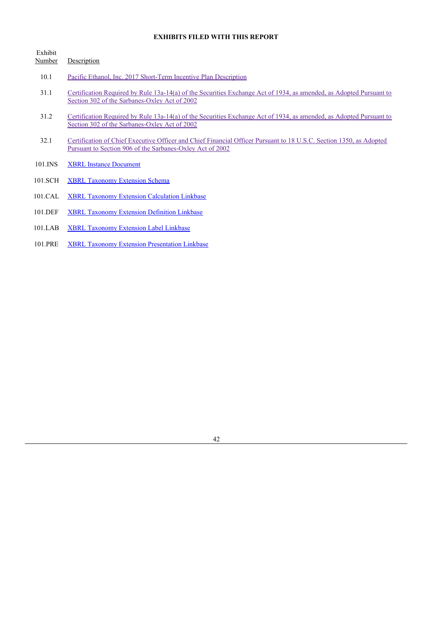# **EXHIBITS FILED WITH THIS REPORT**

# Exhibit Number Description

- 10.1 Pacific Ethanol, Inc. 2017 Short-Term Incentive Plan Description
- 31.1 Certification Required by Rule 13a-14(a) of the Securities Exchange Act of 1934, as amended, as Adopted Pursuant to Section 302 of the Sarbanes-Oxley Act of 2002
- 31.2 Certification Required by Rule 13a-14(a) of the Securities Exchange Act of 1934, as amended, as Adopted Pursuant to Section 302 of the Sarbanes-Oxley Act of 2002
- 32.1 Certification of Chief Executive Officer and Chief Financial Officer Pursuant to 18 U.S.C. Section 1350, as Adopted Pursuant to Section 906 of the Sarbanes-Oxley Act of 2002
- 101.INS XBRL Instance [Document](peix-20170331.xml)
- 101.SCH XBRL [Taxonomy](peix-20170331.xsd) Extension Schema
- 101.CAL XBRL Taxonomy Extension [Calculation](peix-20170331_cal.xml) Linkbase
- 101.DEF XBRL [Taxonomy](peix-20170331_def.xml) Extension Definition Linkbase
- 101.LAB XBRL [Taxonomy](peix-20170331_lab.xml) Extension Label Linkbase
- 101.PRE XBRL Taxonomy Extension [Presentation](peix-20170331_pre.xml) Linkbase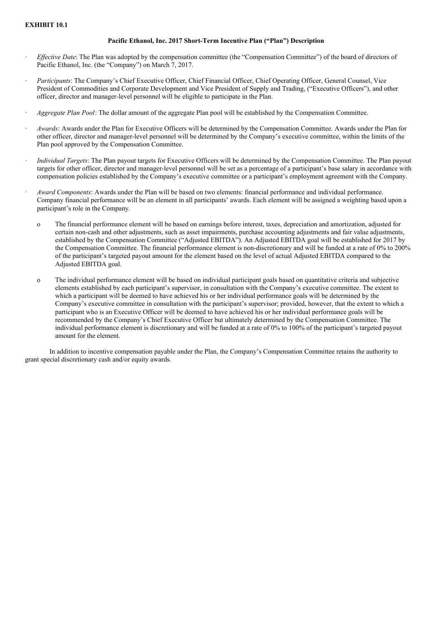### **EXHIBIT 10.1**

### **Pacific Ethanol, Inc. 2017 Short-Term Incentive Plan ("Plan") Description**

- *Effective Date*: The Plan was adopted by the compensation committee (the "Compensation Committee") of the board of directors of Pacific Ethanol, Inc. (the "Company") on March 7, 2017.
- · *Participants*: The Company's Chief Executive Officer, Chief Financial Officer, Chief Operating Officer, General Counsel, Vice President of Commodities and Corporate Development and Vice President of Supply and Trading, ("Executive Officers"), and other officer, director and manager-level personnel will be eligible to participate in the Plan.
- · *Aggregate Plan Pool*: The dollar amount of the aggregate Plan pool will be established by the Compensation Committee.
- · *Awards*: Awards under the Plan for Executive Officers will be determined by the Compensation Committee. Awards under the Plan for other officer, director and manager-level personnel will be determined by the Company's executive committee, within the limits of the Plan pool approved by the Compensation Committee.
- · *Individual Targets*: The Plan payout targets for Executive Officers will be determined by the Compensation Committee. The Plan payout targets for other officer, director and manager-level personnel will be set as a percentage of a participant's base salary in accordance with compensation policies established by the Company's executive committee or a participant's employment agreement with the Company.
- · *Award Components*: Awards under the Plan will be based on two elements: financial performance and individual performance. Company financial performance will be an element in all participants' awards. Each element will be assigned a weighting based upon a participant's role in the Company.
	- o The financial performance element will be based on earnings before interest, taxes, depreciation and amortization, adjusted for certain non-cash and other adjustments, such as asset impairments, purchase accounting adjustments and fair value adjustments, established by the Compensation Committee ("Adjusted EBITDA"). An Adjusted EBITDA goal will be established for 2017 by the Compensation Committee. The financial performance element is non-discretionary and will be funded at a rate of 0% to 200% of the participant's targeted payout amount for the element based on the level of actual Adjusted EBITDA compared to the Adjusted EBITDA goal.
	- o The individual performance element will be based on individual participant goals based on quantitative criteria and subjective elements established by each participant's supervisor, in consultation with the Company's executive committee. The extent to which a participant will be deemed to have achieved his or her individual performance goals will be determined by the Company's executive committee in consultation with the participant's supervisor; provided, however, that the extent to which a participant who is an Executive Officer will be deemed to have achieved his or her individual performance goals will be recommended by the Company's Chief Executive Officer but ultimately determined by the Compensation Committee. The individual performance element is discretionary and will be funded at a rate of 0% to 100% of the participant's targeted payout amount for the element.

In addition to incentive compensation payable under the Plan, the Company's Compensation Committee retains the authority to grant special discretionary cash and/or equity awards.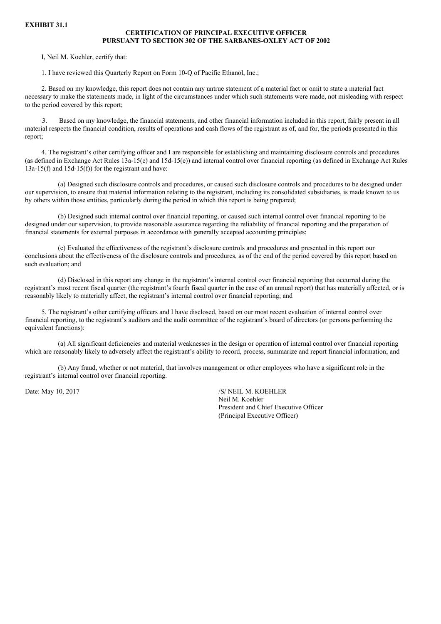# **CERTIFICATION OF PRINCIPAL EXECUTIVE OFFICER PURSUANT TO SECTION 302 OF THE SARBANES-OXLEY ACT OF 2002**

I, Neil M. Koehler, certify that:

1. I have reviewed this Quarterly Report on Form 10-Q of Pacific Ethanol, Inc.;

2. Based on my knowledge, this report does not contain any untrue statement of a material fact or omit to state a material fact necessary to make the statements made, in light of the circumstances under which such statements were made, not misleading with respect to the period covered by this report;

Based on my knowledge, the financial statements, and other financial information included in this report, fairly present in all material respects the financial condition, results of operations and cash flows of the registrant as of, and for, the periods presented in this report;

4. The registrant's other certifying officer and I are responsible for establishing and maintaining disclosure controls and procedures (as defined in Exchange Act Rules 13a-15(e) and 15d-15(e)) and internal control over financial reporting (as defined in Exchange Act Rules 13a-15(f) and 15d-15(f)) for the registrant and have:

(a) Designed such disclosure controls and procedures, or caused such disclosure controls and procedures to be designed under our supervision, to ensure that material information relating to the registrant, including its consolidated subsidiaries, is made known to us by others within those entities, particularly during the period in which this report is being prepared;

(b) Designed such internal control over financial reporting, or caused such internal control over financial reporting to be designed under our supervision, to provide reasonable assurance regarding the reliability of financial reporting and the preparation of financial statements for external purposes in accordance with generally accepted accounting principles;

(c) Evaluated the effectiveness of the registrant's disclosure controls and procedures and presented in this report our conclusions about the effectiveness of the disclosure controls and procedures, as of the end of the period covered by this report based on such evaluation; and

(d) Disclosed in this report any change in the registrant's internal control over financial reporting that occurred during the registrant's most recent fiscal quarter (the registrant's fourth fiscal quarter in the case of an annual report) that has materially affected, or is reasonably likely to materially affect, the registrant's internal control over financial reporting; and

5. The registrant's other certifying officers and I have disclosed, based on our most recent evaluation of internal control over financial reporting, to the registrant's auditors and the audit committee of the registrant's board of directors (or persons performing the equivalent functions):

(a) All significant deficiencies and material weaknesses in the design or operation of internal control over financial reporting which are reasonably likely to adversely affect the registrant's ability to record, process, summarize and report financial information; and

(b) Any fraud, whether or not material, that involves management or other employees who have a significant role in the registrant's internal control over financial reporting.

Date: May 10, 2017 /S/ NEIL M. KOEHLER Neil M. Koehler President and Chief Executive Officer (Principal Executive Officer)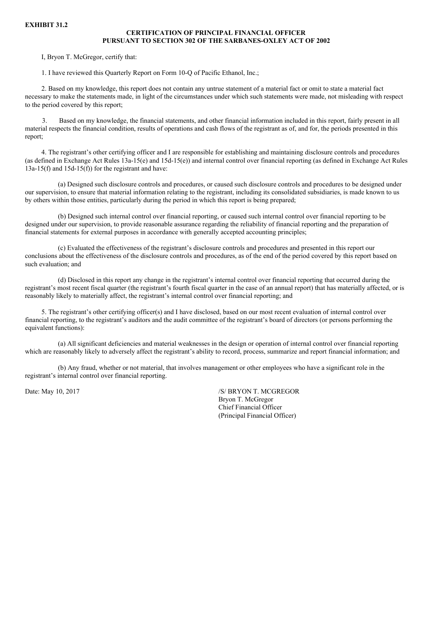# **CERTIFICATION OF PRINCIPAL FINANCIAL OFFICER PURSUANT TO SECTION 302 OF THE SARBANES-OXLEY ACT OF 2002**

I, Bryon T. McGregor, certify that:

1. I have reviewed this Quarterly Report on Form 10-Q of Pacific Ethanol, Inc.;

2. Based on my knowledge, this report does not contain any untrue statement of a material fact or omit to state a material fact necessary to make the statements made, in light of the circumstances under which such statements were made, not misleading with respect to the period covered by this report;

Based on my knowledge, the financial statements, and other financial information included in this report, fairly present in all material respects the financial condition, results of operations and cash flows of the registrant as of, and for, the periods presented in this report;

4. The registrant's other certifying officer and I are responsible for establishing and maintaining disclosure controls and procedures (as defined in Exchange Act Rules 13a-15(e) and 15d-15(e)) and internal control over financial reporting (as defined in Exchange Act Rules 13a-15(f) and 15d-15(f)) for the registrant and have:

(a) Designed such disclosure controls and procedures, or caused such disclosure controls and procedures to be designed under our supervision, to ensure that material information relating to the registrant, including its consolidated subsidiaries, is made known to us by others within those entities, particularly during the period in which this report is being prepared;

(b) Designed such internal control over financial reporting, or caused such internal control over financial reporting to be designed under our supervision, to provide reasonable assurance regarding the reliability of financial reporting and the preparation of financial statements for external purposes in accordance with generally accepted accounting principles;

(c) Evaluated the effectiveness of the registrant's disclosure controls and procedures and presented in this report our conclusions about the effectiveness of the disclosure controls and procedures, as of the end of the period covered by this report based on such evaluation; and

(d) Disclosed in this report any change in the registrant's internal control over financial reporting that occurred during the registrant's most recent fiscal quarter (the registrant's fourth fiscal quarter in the case of an annual report) that has materially affected, or is reasonably likely to materially affect, the registrant's internal control over financial reporting; and

5. The registrant's other certifying officer(s) and I have disclosed, based on our most recent evaluation of internal control over financial reporting, to the registrant's auditors and the audit committee of the registrant's board of directors (or persons performing the equivalent functions):

(a) All significant deficiencies and material weaknesses in the design or operation of internal control over financial reporting which are reasonably likely to adversely affect the registrant's ability to record, process, summarize and report financial information; and

(b) Any fraud, whether or not material, that involves management or other employees who have a significant role in the registrant's internal control over financial reporting.

Date: May 10, 2017 /S/ BRYON T. MCGREGOR Bryon T. McGregor Chief Financial Officer (Principal Financial Officer)